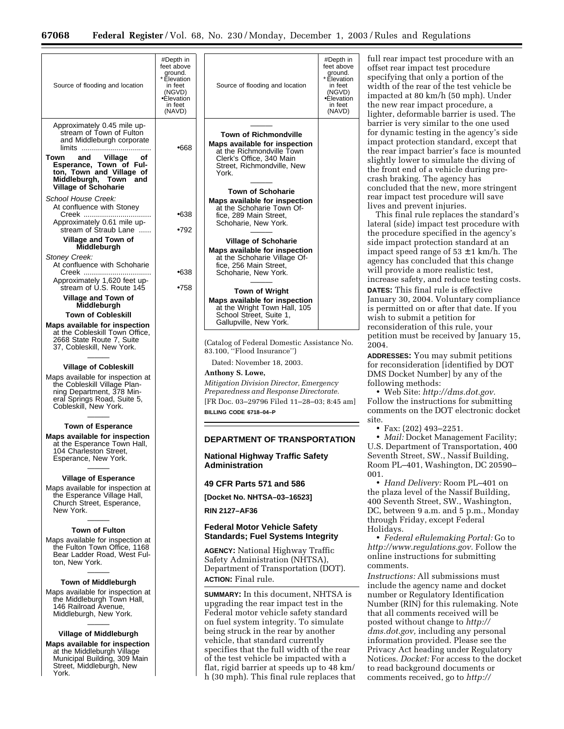| Source of flooding and location                                                                                                                 | #Depth in<br>feet above<br>ground.<br>* Elevation<br>in feet<br>(NGVD)<br>•Elevation<br>in feet<br>(NAVD) | #Depth in<br>feet above<br>ground.<br>* Elevation<br>Source of flooding and location<br>in feet<br>(NGVD)<br>•Elevation<br>in feet<br>(NAVD)                   | ful<br>offs<br>spe<br>wi<br>im<br>the<br>ligl |
|-------------------------------------------------------------------------------------------------------------------------------------------------|-----------------------------------------------------------------------------------------------------------|----------------------------------------------------------------------------------------------------------------------------------------------------------------|-----------------------------------------------|
| Approximately 0.45 mile up-<br>stream of Town of Fulton<br>and Middleburgh corporate<br>Town<br>and<br>Village<br>Οf<br>Esperance, Town of Ful- | •668                                                                                                      | <b>Town of Richmondville</b><br>Maps available for inspection<br>at the Richmondville Town<br>Clerk's Office, 340 Main<br>Street, Richmondville, New           | bar<br>for<br>im<br>the<br>slig               |
| ton, Town and Village of<br>Middleburgh, Town and<br><b>Village of Schoharie</b><br>School House Creek:                                         |                                                                                                           | York.<br><b>Town of Schoharie</b>                                                                                                                              | the<br>cra<br>cor<br>rea                      |
| At confluence with Stoney<br>Approximately 0.61 mile up-                                                                                        | •638                                                                                                      | Maps available for inspection<br>at the Schoharie Town Of-<br>fice, 289 Main Street,<br>Schoharie, New York.                                                   | live                                          |
| stream of Straub Lane<br>Village and Town of                                                                                                    | •792                                                                                                      | <b>Village of Schoharie</b>                                                                                                                                    | late<br>the<br>sid                            |
| Middleburgh<br>Stoney Creek:<br>At confluence with Schoharie<br>Creek                                                                           | •638                                                                                                      | Maps available for inspection<br>at the Schoharie Village Of-<br>fice, 256 Main Street,<br>Schoharie, New York.                                                | im<br>age<br>wil                              |
| Approximately 1,620 feet up-<br>stream of U.S. Route 145<br>Village and Town of                                                                 | •758                                                                                                      | <b>Town of Wright</b>                                                                                                                                          | inc<br>DA1                                    |
| Middleburgh<br><b>Town of Cobleskill</b>                                                                                                        |                                                                                                           | Maps available for inspection<br>at the Wright Town Hall, 105<br>School Street, Suite 1,<br>Gallupville, New York.                                             | Jan<br>is p<br>wis                            |
| Maps available for inspection<br>at the Cobleskill Town Office,<br>2668 State Route 7, Suite<br>37, Cobleskill, New York.                       |                                                                                                           | (Catalog of Federal Domestic Assistance No.<br>83.100, "Flood Insurance")                                                                                      | rec<br>pet<br>200                             |
| <b>Village of Cobleskill</b><br>Maps available for inspection at                                                                                |                                                                                                           | Dated: November 18, 2003.<br>Anthony S. Lowe,                                                                                                                  | <b>ADI</b><br>for<br><b>DM</b>                |
| the Cobleskill Village Plan-<br>ning Department, 378 Min-<br>eral Springs Road, Suite 5,<br>Cobleskill, New York.                               |                                                                                                           | Mitigation Division Director, Emergency<br>Preparedness and Response Directorate.<br>[FR Doc. 03–29796 Filed 11–28–03; 8:45 am]<br>BILLING CODE 6718-04-P      | foll<br>Fol<br>cor                            |
| <b>Town of Esperance</b><br>Maps available for inspection<br>at the Esperance Town Hall,<br>104 Charleston Street,<br>Esperance, New York.      |                                                                                                           | <b>DEPARTMENT OF TRANSPORTATION</b>                                                                                                                            | site                                          |
|                                                                                                                                                 |                                                                                                           | National Highway Traffic Safety<br><b>Administration</b>                                                                                                       | U.S<br>Sey<br>Ro                              |
| <b>Village of Esperance</b><br>Maps available for inspection at                                                                                 |                                                                                                           | 49 CFR Parts 571 and 586                                                                                                                                       | 001<br>the                                    |
| the Esperance Village Hall,<br>Church Street, Esperance,<br>New York.                                                                           |                                                                                                           | [Docket No. NHTSA-03-16523]<br><b>RIN 2127-AF36</b>                                                                                                            | 400<br>DС                                     |
| <b>Town of Fulton</b><br>Maps available for inspection at                                                                                       |                                                                                                           | <b>Federal Motor Vehicle Safety</b><br><b>Standards; Fuel Systems Integrity</b>                                                                                | thr<br>Ho                                     |
| the Fulton Town Office, 1168<br>Bear Ladder Road, West Ful-<br>ton, New York.                                                                   |                                                                                                           | <b>AGENCY:</b> National Highway Traffic<br>Safety Administration (NHTSA),<br>Department of Transportation (DOT).<br><b>ACTION:</b> Final rule.                 | htt<br>onl<br>cor<br>Ins                      |
| <b>Town of Middleburgh</b><br>Maps available for inspection at<br>the Middleburgh Town Hall,<br>146 Railroad Avenue,<br>Middleburgh, New York.  |                                                                                                           | SUMMARY: In this document, NHTSA is<br>upgrading the rear impact test in the<br>Federal motor vehicle safety standard<br>on fuel system integrity. To simulate | inc<br>nu<br>Nu<br>tha<br>pos                 |
| Village of Middleburgh<br><b>Maps available for inspection</b><br>at the Middleburgh Village<br>Municipal Building, 309 Main                    |                                                                                                           | being struck in the rear by another<br>vehicle, that standard currently<br>specifies that the full width of the rear<br>of the test vehicle be impacted with a | dm<br>inf<br>Pri<br>No                        |

Street, Middleburgh, New

York.

the test vehicle be impacted with a flat, rigid barrier at speeds up to 48 km/ h (30 mph). This final rule replaces that

rear impact test procedure with an set rear impact test procedure ecifying that only a portion of the dth of the rear of the test vehicle be pacted at 80 km/h (50 mph). Under new rear impact procedure, a hter, deformable barrier is used. The rier is very similar to the one used dynamic testing in the agency's side pact protection standard, except that rear impact barrier's face is mounted slightly lower to simulate the diving of front end of a vehicle during presh braking. The agency has ncluded that the new, more stringent r impact test procedure will save es and prevent injuries.

This final rule replaces the standard's eral (side) impact test procedure with procedure specified in the agency's e impact protection standard at an pact speed range of 53  $\pm$  1 km/h. The ency has concluded that this change Il provide a more realistic test, rease safety, and reduce testing costs. **FES:** This final rule is effective uary 30, 2004. Voluntary compliance is permitted on or after that date. If you sh to submit a petition for onsideration of this rule, your ition must be received by January 15, )4.

**ADDRESSES:** You may submit petitions reconsideration [identified by DOT IS Docket Number] by any of the lowing methods:

• Web Site: *[http://dms.dot.gov.](http://dms.dot.gov)* llow the instructions for submitting nments on the DOT electronic docket site.

• Fax: (202) 493–2251.

*Mail:* Docket Management Facility; S. Department of Transportation, 400 venth Street, SW., Nassif Building, om PL–401, Washington, DC 20590– 001.

• *Hand Delivery:* Room PL–401 on plaza level of the Nassif Building, 400 Seventh Street, SW., Washington, , between 9 a.m. and 5 p.m., Monday ough Friday, except Federal lidays.

• *Federal eRulemaking Portal:* Go to *[http://www.regulations.gov.](http://www.regulations.gov)* Follow the ine instructions for submitting nments.

*Instructions:* All submissions must lude the agency name and docket mber or Regulatory Identification mber (RIN) for this rulemaking. Note t all comments received will be [posted without change to](http://dms.dot.gov) *http:// dms.dot.gov,* including any personal ormation provided. Please see the vacy Act heading under Regulatory Notices. *Docket:* For access to the docket to read background documents or comments received, go to *[http://](http://dms.dot.gov)*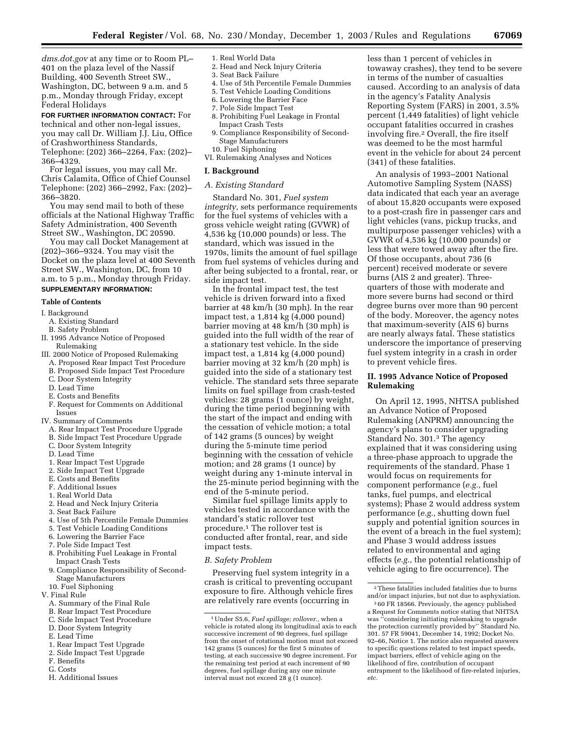*[dms.dot.gov](http://dms.dot.gov)* at any time or to Room PL– 401 on the plaza level of the Nassif Building, 400 Seventh Street SW., Washington, DC, between 9 a.m. and 5 p.m., Monday through Friday, except Federal Holidays

**FOR FURTHER INFORMATION CONTACT:** For technical and other non-legal issues, you may call Dr. William J.J. Liu, Office of Crashworthiness Standards, Telephone: (202) 366–2264, Fax: (202)– 366–4329.

For legal issues, you may call Mr. Chris Calamita, Office of Chief Counsel Telephone: (202) 366–2992, Fax: (202)– 366–3820.

You may send mail to both of these officials at the National Highway Traffic Safety Administration, 400 Seventh Street SW., Washington, DC 20590.

You may call Docket Management at (202)–366–9324. You may visit the Docket on the plaza level at 400 Seventh Street SW., Washington, DC, from 10 a.m. to 5 p.m., Monday through Friday. **SUPPLEMENTARY INFORMATION:**

#### **Table of Contents**

# I. Background

- A. Existing Standard
- B. Safety Problem
- II. 1995 Advance Notice of Proposed Rulemaking
- III. 2000 Notice of Proposed Rulemaking
	- A. Proposed Rear Impact Test Procedure
	- B. Proposed Side Impact Test Procedure
	- C. Door System Integrity
	- D. Lead Time
	- E. Costs and Benefits
	- F. Request for Comments on Additional Issues
- IV. Summary of Comments
	- A. Rear Impact Test Procedure Upgrade
	- B. Side Impact Test Procedure Upgrade
	- C. Door System Integrity
	- D. Lead Time
	- 1. Rear Impact Test Upgrade
	- 2. Side Impact Test Upgrade
	- E. Costs and Benefits
	- F. Additional Issues
	- 1. Real World Data
	- 2. Head and Neck Injury Criteria
	- 3. Seat Back Failure
	- 4. Use of 5th Percentile Female Dummies
	- 5. Test Vehicle Loading Conditions
	- 6. Lowering the Barrier Face
	- 7. Pole Side Impact Test
	- 8. Prohibiting Fuel Leakage in Frontal
	- Impact Crash Tests
	- 9. Compliance Responsibility of Second-Stage Manufacturers
	- 10. Fuel Siphoning

V. Final Rule

- A. Summary of the Final Rule
- B. Rear Impact Test Procedure
- C. Side Impact Test Procedure
- D. Door System Integrity
- E. Lead Time
- 1. Rear Impact Test Upgrade
- 2. Side Impact Test Upgrade
- F. Benefits
- G. Costs
- 1. Real World Data
- 2. Head and Neck Injury Criteria
- 3. Seat Back Failure
- 4. Use of 5th Percentile Female Dummies
- 5. Test Vehicle Loading Conditions
- 6. Lowering the Barrier Face
- 7. Pole Side Impact Test
- 8. Prohibiting Fuel Leakage in Frontal Impact Crash Tests
- 9. Compliance Responsibility of Second-Stage Manufacturers
- 10. Fuel Siphoning VI. Rulemaking Analyses and Notices

#### **I. Background**

#### *A. Existing Standard*

Standard No. 301, *Fuel system integrity,* sets performance requirements for the fuel systems of vehicles with a gross vehicle weight rating (GVWR) of 4,536 kg (10,000 pounds) or less. The standard, which was issued in the 1970s, limits the amount of fuel spillage from fuel systems of vehicles during and after being subjected to a frontal, rear, or side impact test.

In the frontal impact test, the test vehicle is driven forward into a fixed barrier at 48 km/h (30 mph). In the rear impact test, a 1,814 kg (4,000 pound) barrier moving at 48 km/h (30 mph) is guided into the full width of the rear of a stationary test vehicle. In the side impact test, a 1,814 kg (4,000 pound) barrier moving at 32 km/h (20 mph) is guided into the side of a stationary test vehicle. The standard sets three separate limits on fuel spillage from crash-tested vehicles: 28 grams (1 ounce) by weight, during the time period beginning with the start of the impact and ending with the cessation of vehicle motion; a total of 142 grams (5 ounces) by weight during the 5-minute time period beginning with the cessation of vehicle motion; and 28 grams (1 ounce) by weight during any 1-minute interval in the 25-minute period beginning with the end of the 5-minute period.

Similar fuel spillage limits apply to vehicles tested in accordance with the standard's static rollover test procedure.1 The rollover test is conducted after frontal, rear, and side impact tests.

# *B. Safety Problem*

Preserving fuel system integrity in a crash is critical to preventing occupant exposure to fire. Although vehicle fires are relatively rare events (occurring in

less than 1 percent of vehicles in towaway crashes), they tend to be severe in terms of the number of casualties caused. According to an analysis of data in the agency's Fatality Analysis Reporting System (FARS) in 2001, 3.5% percent (1,449 fatalities) of light vehicle occupant fatalities occurred in crashes involving fire.2 Overall, the fire itself was deemed to be the most harmful event in the vehicle for about 24 percent (341) of these fatalities.

An analysis of 1993–2001 National Automotive Sampling System (NASS) data indicated that each year an average of about 15,820 occupants were exposed to a post-crash fire in passenger cars and light vehicles (vans, pickup trucks, and multipurpose passenger vehicles) with a GVWR of 4,536 kg (10,000 pounds) or less that were towed away after the fire. Of those occupants, about 736 (6 percent) received moderate or severe burns (AIS 2 and greater). Threequarters of those with moderate and more severe burns had second or third degree burns over more than 90 percent of the body. Moreover, the agency notes that maximum-severity (AIS 6) burns are nearly always fatal. These statistics underscore the importance of preserving fuel system integrity in a crash in order to prevent vehicle fires.

# **II. 1995 Advance Notice of Proposed Rulemaking**

On April 12, 1995, NHTSA published an Advance Notice of Proposed Rulemaking (ANPRM) announcing the agency's plans to consider upgrading Standard No. 301.3 The agency explained that it was considering using a three-phase approach to upgrade the requirements of the standard. Phase 1 would focus on requirements for component performance (*e.g.,* fuel tanks, fuel pumps, and electrical systems); Phase 2 would address system performance (*e.g.,* shutting down fuel supply and potential ignition sources in the event of a breach in the fuel system); and Phase 3 would address issues related to environmental and aging effects (*e.g.,* the potential relationship of vehicle aging to fire occurrence). The

H. Additional Issues

<sup>1</sup>Under S5.6, *Fuel spillage; rollover.,* when a vehicle is rotated along its longitudinal axis to each successive increment of 90 degrees, fuel spillage from the onset of rotational motion must not exceed 142 grams (5 ounces) for the first 5 minutes of testing, at each successive 90 degree increment. For the remaining test period at each increment of 90 degrees, fuel spillage during any one minute interval must not exceed 28 g (1 ounce).

<sup>2</sup>These fatalities included fatalities due to burns and/or impact injuries, but not due to asphyxiation.

<sup>3</sup> 60 FR 18566. Previously, the agency published a Request for Comments notice stating that NHTSA was ''considering initiating rulemaking to upgrade the protection currently provided by'' Standard No. 301. 57 FR 59041, December 14, 1992; Docket No. 92–66, Notice 1. The notice also requested answers to specific questions related to test impact speeds, impact barriers, effect of vehicle aging on the likelihood of fire, contribution of occupant entrapment to the likelihood of fire-related injuries, *etc.*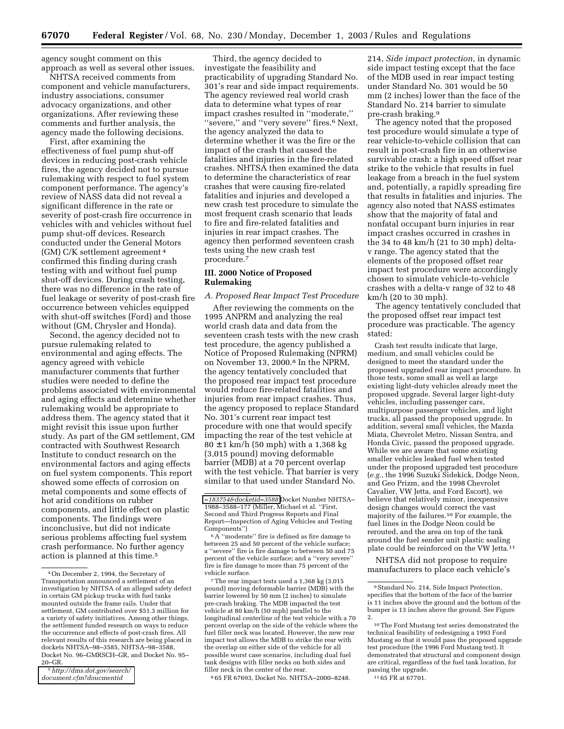agency sought comment on this approach as well as several other issues.

NHTSA received comments from component and vehicle manufacturers, industry associations, consumer advocacy organizations, and other organizations. After reviewing these comments and further analysis, the agency made the following decisions.

First, after examining the effectiveness of fuel pump shut-off devices in reducing post-crash vehicle fires, the agency decided not to pursue rulemaking with respect to fuel system component performance. The agency's review of NASS data did not reveal a significant difference in the rate or severity of post-crash fire occurrence in vehicles with and vehicles without fuel pump shut-off devices. Research conducted under the General Motors (GM) C/K settlement agreement 4 confirmed this finding during crash testing with and without fuel pump shut-off devices. During crash testing, there was no difference in the rate of fuel leakage or severity of post-crash fire occurrence between vehicles equipped with shut-off switches (Ford) and those without (GM, Chrysler and Honda).

Second, the agency decided not to pursue rulemaking related to environmental and aging effects. The agency agreed with vehicle manufacturer comments that further studies were needed to define the problems associated with environmental and aging effects and determine whether rulemaking would be appropriate to address them. The agency stated that it might revisit this issue upon further study. As part of the GM settlement, GM contracted with Southwest Research Institute to conduct research on the environmental factors and aging effects on fuel system components. This report showed some effects of corrosion on metal components and some effects of hot arid conditions on rubber components, and little effect on plastic components. The findings were inconclusive, but did not indicate serious problems affecting fuel system crash performance. No further agency action is planned at this time.5

Third, the agency decided to investigate the feasibility and practicability of upgrading Standard No. 301's rear and side impact requirements. The agency reviewed real world crash data to determine what types of rear impact crashes resulted in ''moderate,'' ''severe,'' and ''very severe'' fires.6 Next, the agency analyzed the data to determine whether it was the fire or the impact of the crash that caused the fatalities and injuries in the fire-related crashes. NHTSA then examined the data to determine the characteristics of rear crashes that were causing fire-related fatalities and injuries and developed a new crash test procedure to simulate the most frequent crash scenario that leads to fire and fire-related fatalities and injuries in rear impact crashes. The agency then performed seventeen crash tests using the new crash test procedure.7

# **III. 2000 Notice of Proposed Rulemaking**

#### *A. Proposed Rear Impact Test Procedure*

After reviewing the comments on the 1995 ANPRM and analyzing the real world crash data and data from the seventeen crash tests with the new crash test procedure, the agency published a Notice of Proposed Rulemaking (NPRM) on November 13, 2000.8 In the NPRM, the agency tentatively concluded that the proposed rear impact test procedure would reduce fire-related fatalities and injuries from rear impact crashes. Thus, the agency proposed to replace Standard No. 301's current rear impact test procedure with one that would specify impacting the rear of the test vehicle at  $80 \pm 1$  km/h (50 mph) with a 1,368 kg (3,015 pound) moving deformable barrier (MDB) at a 70 percent overlap with the test vehicle. That barrier is very similar to that used under Standard No.

7The rear impact tests used a 1,368 kg (3,015 pound) moving deformable barrier (MDB) with the barrier lowered by 50 mm (2 inches) to simulate pre-crash braking. The MDB impacted the test vehicle at 80 km/h (50 mph) parallel to the longitudinal centerline of the test vehicle with a 70 percent overlap on the side of the vehicle where the fuel filler neck was located. However, the new rear impact test allows the MDB to strike the rear with the overlap on either side of the vehicle for all possible worst case scenarios, including dual fuel tank designs with filler necks on both sides and filler neck in the center of the rear.

8 65 FR 67693, Docket No. NHTSA–2000–8248.

214, *Side impact protection,* in dynamic side impact testing except that the face of the MDB used in rear impact testing under Standard No. 301 would be 50 mm (2 inches) lower than the face of the Standard No. 214 barrier to simulate pre-crash braking.9

The agency noted that the proposed test procedure would simulate a type of rear vehicle-to-vehicle collision that can result in post-crash fire in an otherwise survivable crash: a high speed offset rear strike to the vehicle that results in fuel leakage from a breach in the fuel system and, potentially, a rapidly spreading fire that results in fatalities and injuries. The agency also noted that NASS estimates show that the majority of fatal and nonfatal occupant burn injuries in rear impact crashes occurred in crashes in the 34 to 48 km/h (21 to 30 mph) deltav range. The agency stated that the elements of the proposed offset rear impact test procedure were accordingly chosen to simulate vehicle-to-vehicle crashes with a delta-v range of 32 to 48 km/h (20 to 30 mph).

The agency tentatively concluded that the proposed offset rear impact test procedure was practicable. The agency stated:

Crash test results indicate that large, medium, and small vehicles could be designed to meet the standard under the proposed upgraded rear impact procedure. In those tests, some small as well as large existing light-duty vehicles already meet the proposed upgrade. Several larger light-duty vehicles, including passenger cars, multipurpose passenger vehicles, and light trucks, all passed the proposed upgrade. In addition, several small vehicles, the Mazda Miata, Chevrolet Metro, Nissan Sentra, and Honda Civic, passed the proposed upgrade. While we are aware that some existing smaller vehicles leaked fuel when tested under the proposed upgraded test procedure (*e.g.*, the 1996 Suzuki Sidekick, Dodge Neon, and Geo Prizm, and the 1998 Chevrolet Cavalier, VW Jetta, and Ford Escort), we believe that relatively minor, inexpensive design changes would correct the vast majority of the failures.10 For example, the fuel lines in the Dodge Neon could be rerouted, and the area on top of the tank around the fuel sender unit plastic sealing plate could be reinforced on the VW Jetta.11

NHTSA did not propose to require manufacturers to place each vehicle's

<sup>4</sup>On December 2, 1994, the Secretary of Transportation announced a settlement of an investigation by NHTSA of an alleged safety defect in certain GM pickup trucks with fuel tanks mounted outside the frame rails. Under that settlement, GM contributed over \$51.3 million for a variety of safety initiatives. Among other things, the settlement funded research on ways to reduce the occurrence and effects of post-crash fires. All relevant results of this research are being placed in dockets NHTSA–98–3585, NHTSA–98–3588, Docket No. 96–GMRSCH–GR, and Docket No. 95– 20–GR.

<sup>5</sup>*http://dms.dot.gov/search/ [document.cfm?doucmentid](http://dms.dot.gov/search/document.cfm?documentid=18375&docketid=3558)*

*[<sup>=183754&</sup>amp;docketid=3588](http://dms.dot.gov/search/document.cfm?documentid=18375&docketid=3558)* Docket Number NHTSA– 1988–3588–177 (Miller, Michael et al. ''First, Second and Third Progress Reports and Final Report—Inspection of Aging Vehicles and Testing Components'')

 $^6\textnormal{A}$  "moderate" fire is defined as fire damage to between 25 and 50 percent of the vehicle surface; a ''severe'' fire is fire damage to between 50 and 75 percent of the vehicle surface; and a ''very severe'' fire is fire damage to more than 75 percent of the vehicle surface.

<sup>9</sup>Standard No. 214, Side Impact Protection, specifies that the bottom of the face of the barrier is 11 inches above the ground and the bottom of the bumper is 13 inches above the ground. See Figure 2.

<sup>10</sup>The Ford Mustang test series demonstrated the technical feasibility of redesigning a 1993 Ford Mustang so that it would pass the proposed upgrade test procedure (the 1996 Ford Mustang test). It demonstrated that structural and component design are critical, regardless of the fuel tank location, for passing the upgrade. 11 65 FR at 67701.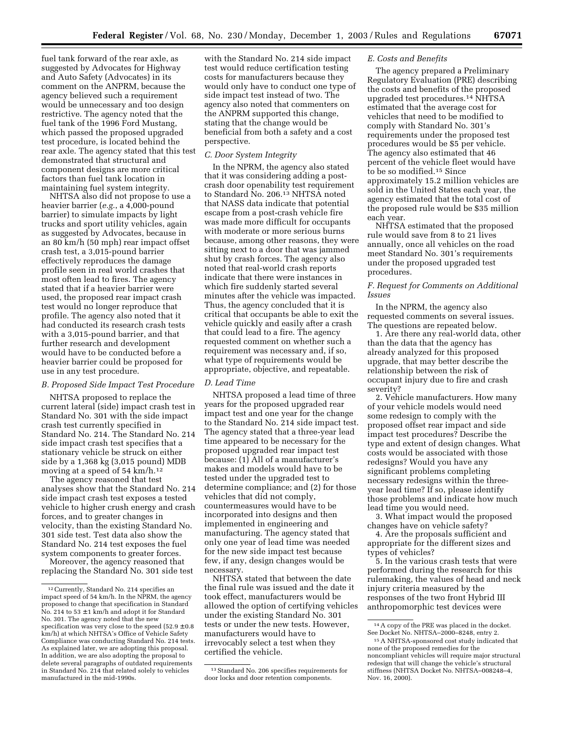fuel tank forward of the rear axle, as suggested by Advocates for Highway and Auto Safety (Advocates) in its comment on the ANPRM, because the agency believed such a requirement would be unnecessary and too design restrictive. The agency noted that the fuel tank of the 1996 Ford Mustang, which passed the proposed upgraded test procedure, is located behind the rear axle. The agency stated that this test demonstrated that structural and component designs are more critical factors than fuel tank location in maintaining fuel system integrity.

NHTSA also did not propose to use a heavier barrier (*e.g.*, a 4,000-pound barrier) to simulate impacts by light trucks and sport utility vehicles, again as suggested by Advocates, because in an 80 km/h (50 mph) rear impact offset crash test, a 3,015-pound barrier effectively reproduces the damage profile seen in real world crashes that most often lead to fires. The agency stated that if a heavier barrier were used, the proposed rear impact crash test would no longer reproduce that profile. The agency also noted that it had conducted its research crash tests with a 3,015-pound barrier, and that further research and development would have to be conducted before a heavier barrier could be proposed for use in any test procedure.

# *B. Proposed Side Impact Test Procedure*

NHTSA proposed to replace the current lateral (side) impact crash test in Standard No. 301 with the side impact crash test currently specified in Standard No. 214. The Standard No. 214 side impact crash test specifies that a stationary vehicle be struck on either side by a 1,368 kg (3,015 pound) MDB moving at a speed of 54 km/h.<sup>12</sup>

The agency reasoned that test analyses show that the Standard No. 214 side impact crash test exposes a tested vehicle to higher crush energy and crash forces, and to greater changes in velocity, than the existing Standard No. 301 side test. Test data also show the Standard No. 214 test exposes the fuel system components to greater forces.

Moreover, the agency reasoned that replacing the Standard No. 301 side test with the Standard No. 214 side impact test would reduce certification testing costs for manufacturers because they would only have to conduct one type of side impact test instead of two. The agency also noted that commenters on the ANPRM supported this change, stating that the change would be beneficial from both a safety and a cost perspective.

# *C. Door System Integrity*

In the NPRM, the agency also stated that it was considering adding a postcrash door openability test requirement to Standard No. 206.13 NHTSA noted that NASS data indicate that potential escape from a post-crash vehicle fire was made more difficult for occupants with moderate or more serious burns because, among other reasons, they were sitting next to a door that was jammed shut by crash forces. The agency also noted that real-world crash reports indicate that there were instances in which fire suddenly started several minutes after the vehicle was impacted. Thus, the agency concluded that it is critical that occupants be able to exit the vehicle quickly and easily after a crash that could lead to a fire. The agency requested comment on whether such a requirement was necessary and, if so, what type of requirements would be appropriate, objective, and repeatable.

# *D. Lead Time*

NHTSA proposed a lead time of three years for the proposed upgraded rear impact test and one year for the change to the Standard No. 214 side impact test. The agency stated that a three-year lead time appeared to be necessary for the proposed upgraded rear impact test because: (1) All of a manufacturer's makes and models would have to be tested under the upgraded test to determine compliance; and (2) for those vehicles that did not comply, countermeasures would have to be incorporated into designs and then implemented in engineering and manufacturing. The agency stated that only one year of lead time was needed for the new side impact test because few, if any, design changes would be necessary.

NHTSA stated that between the date the final rule was issued and the date it took effect, manufacturers would be allowed the option of certifying vehicles under the existing Standard No. 301 tests or under the new tests. However, manufacturers would have to irrevocably select a test when they certified the vehicle.

# *E. Costs and Benefits*

The agency prepared a Preliminary Regulatory Evaluation (PRE) describing the costs and benefits of the proposed upgraded test procedures.14 NHTSA estimated that the average cost for vehicles that need to be modified to comply with Standard No. 301's requirements under the proposed test procedures would be \$5 per vehicle. The agency also estimated that 46 percent of the vehicle fleet would have to be so modified.15 Since approximately 15.2 million vehicles are sold in the United States each year, the agency estimated that the total cost of the proposed rule would be \$35 million each year.

NHTSA estimated that the proposed rule would save from 8 to 21 lives annually, once all vehicles on the road meet Standard No. 301's requirements under the proposed upgraded test procedures.

# *F. Request for Comments on Additional Issues*

In the NPRM, the agency also requested comments on several issues. The questions are repeated below.

1. Are there any real-world data, other than the data that the agency has already analyzed for this proposed upgrade, that may better describe the relationship between the risk of occupant injury due to fire and crash severity?

2. Vehicle manufacturers. How many of your vehicle models would need some redesign to comply with the proposed offset rear impact and side impact test procedures? Describe the type and extent of design changes. What costs would be associated with those redesigns? Would you have any significant problems completing necessary redesigns within the threeyear lead time? If so, please identify those problems and indicate how much lead time you would need.

3. What impact would the proposed changes have on vehicle safety?

4. Are the proposals sufficient and appropriate for the different sizes and types of vehicles?

5. In the various crash tests that were performed during the research for this rulemaking, the values of head and neck injury criteria measured by the responses of the two front Hybrid III anthropomorphic test devices were

<sup>12</sup>Currently, Standard No. 214 specifies an impact speed of 54 km/h. In the NPRM, the agency proposed to change that specification in Standard No. 214 to 53 ± 1 km/h and adopt it for Standard No. 301. The agency noted that the new specification was very close to the speed  $(52.9 \pm 0.8)$ km/h) at which NHTSA's Office of Vehicle Safety Compliance was conducting Standard No. 214 tests. As explained later, we are adopting this proposal. In addition, we are also adopting the proposal to delete several paragraphs of outdated requirements in Standard No. 214 that related solely to vehicles manufactured in the mid-1990s.

<sup>13</sup>Standard No. 206 specifies requirements for door locks and door retention components.

<sup>14</sup>A copy of the PRE was placed in the docket. See Docket No. NHTSA–2000–8248, entry 2.

<sup>15</sup>A NHTSA-sponsored cost study indicated that none of the proposed remedies for the noncompliant vehicles will require major structural redesign that will change the vehicle's structural stiffness (NHTSA Docket No. NHTSA–008248–4, Nov. 16, 2000).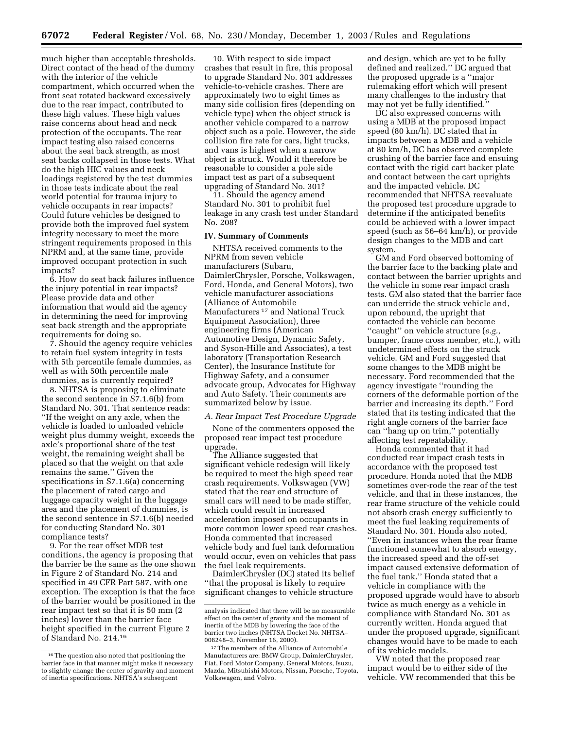much higher than acceptable thresholds. Direct contact of the head of the dummy with the interior of the vehicle compartment, which occurred when the front seat rotated backward excessively due to the rear impact, contributed to these high values. These high values raise concerns about head and neck protection of the occupants. The rear impact testing also raised concerns about the seat back strength, as most seat backs collapsed in those tests. What do the high HIC values and neck loadings registered by the test dummies in those tests indicate about the real world potential for trauma injury to vehicle occupants in rear impacts? Could future vehicles be designed to provide both the improved fuel system integrity necessary to meet the more stringent requirements proposed in this NPRM and, at the same time, provide improved occupant protection in such impacts?

6. How do seat back failures influence the injury potential in rear impacts? Please provide data and other information that would aid the agency in determining the need for improving seat back strength and the appropriate requirements for doing so.

7. Should the agency require vehicles to retain fuel system integrity in tests with 5th percentile female dummies, as well as with 50th percentile male dummies, as is currently required?

8. NHTSA is proposing to eliminate the second sentence in S7.1.6(b) from Standard No. 301. That sentence reads: ''If the weight on any axle, when the vehicle is loaded to unloaded vehicle weight plus dummy weight, exceeds the axle's proportional share of the test weight, the remaining weight shall be placed so that the weight on that axle remains the same.'' Given the specifications in S7.1.6(a) concerning the placement of rated cargo and luggage capacity weight in the luggage area and the placement of dummies, is the second sentence in S7.1.6(b) needed for conducting Standard No. 301 compliance tests?

9. For the rear offset MDB test conditions, the agency is proposing that the barrier be the same as the one shown in Figure 2 of Standard No. 214 and specified in 49 CFR Part 587, with one exception. The exception is that the face of the barrier would be positioned in the rear impact test so that it is 50 mm (2 inches) lower than the barrier face height specified in the current Figure 2 of Standard No. 214.16

10. With respect to side impact crashes that result in fire, this proposal to upgrade Standard No. 301 addresses vehicle-to-vehicle crashes. There are approximately two to eight times as many side collision fires (depending on vehicle type) when the object struck is another vehicle compared to a narrow object such as a pole. However, the side collision fire rate for cars, light trucks, and vans is highest when a narrow object is struck. Would it therefore be reasonable to consider a pole side impact test as part of a subsequent upgrading of Standard No. 301?

11. Should the agency amend Standard No. 301 to prohibit fuel leakage in any crash test under Standard No. 208?

# **IV. Summary of Comments**

NHTSA received comments to the NPRM from seven vehicle manufacturers (Subaru, DaimlerChrysler, Porsche, Volkswagen, Ford, Honda, and General Motors), two vehicle manufacturer associations (Alliance of Automobile Manufacturers 17 and National Truck Equipment Association), three engineering firms (American Automotive Design, Dynamic Safety, and Syson-Hille and Associates), a test laboratory (Transportation Research Center), the Insurance Institute for Highway Safety, and a consumer advocate group, Advocates for Highway and Auto Safety. Their comments are summarized below by issue.

# *A. Rear Impact Test Procedure Upgrade*

None of the commenters opposed the proposed rear impact test procedure upgrade.

The Alliance suggested that significant vehicle redesign will likely be required to meet the high speed rear crash requirements. Volkswagen (VW) stated that the rear end structure of small cars will need to be made stiffer, which could result in increased acceleration imposed on occupants in more common lower speed rear crashes. Honda commented that increased vehicle body and fuel tank deformation would occur, even on vehicles that pass the fuel leak requirements.

DaimlerChrysler (DC) stated its belief ''that the proposal is likely to require significant changes to vehicle structure

and design, which are yet to be fully defined and realized.'' DC argued that the proposed upgrade is a ''major rulemaking effort which will present many challenges to the industry that may not yet be fully identified.''

DC also expressed concerns with using a MDB at the proposed impact speed (80 km/h). DC stated that in impacts between a MDB and a vehicle at 80 km/h, DC has observed complete crushing of the barrier face and ensuing contact with the rigid cart backer plate and contact between the cart uprights and the impacted vehicle. DC recommended that NHTSA reevaluate the proposed test procedure upgrade to determine if the anticipated benefits could be achieved with a lower impact speed (such as 56–64 km/h), or provide design changes to the MDB and cart system.

GM and Ford observed bottoming of the barrier face to the backing plate and contact between the barrier uprights and the vehicle in some rear impact crash tests. GM also stated that the barrier face can underride the struck vehicle and, upon rebound, the upright that contacted the vehicle can become ''caught'' on vehicle structure (*e.g.*, bumper, frame cross member, etc.), with undetermined effects on the struck vehicle. GM and Ford suggested that some changes to the MDB might be necessary. Ford recommended that the agency investigate ''rounding the corners of the deformable portion of the barrier and increasing its depth.'' Ford stated that its testing indicated that the right angle corners of the barrier face can ''hang up on trim,'' potentially affecting test repeatability.

Honda commented that it had conducted rear impact crash tests in accordance with the proposed test procedure. Honda noted that the MDB sometimes over-rode the rear of the test vehicle, and that in these instances, the rear frame structure of the vehicle could not absorb crash energy sufficiently to meet the fuel leaking requirements of Standard No. 301. Honda also noted, ''Even in instances when the rear frame functioned somewhat to absorb energy, the increased speed and the off-set impact caused extensive deformation of the fuel tank.'' Honda stated that a vehicle in compliance with the proposed upgrade would have to absorb twice as much energy as a vehicle in compliance with Standard No. 301 as currently written. Honda argued that under the proposed upgrade, significant changes would have to be made to each of its vehicle models.

VW noted that the proposed rear impact would be to either side of the vehicle. VW recommended that this be

<sup>16</sup>The question also noted that positioning the barrier face in that manner might make it necessary to slightly change the center of gravity and moment of inertia specifications. NHTSA's subsequent

analysis indicated that there will be no measurable effect on the center of gravity and the moment of inertia of the MDB by lowering the face of the barrier two inches (NHTSA Docket No. NHTSA– 008248–3, November 16, 2000).

<sup>17</sup>The members of the Alliance of Automobile Manufacturers are: BMW Group, DaimlerChrysler, Fiat, Ford Motor Company, General Motors, Isuzu, Mazda, Mitsubishi Motors, Nissan, Porsche, Toyota, Volkswagen, and Volvo.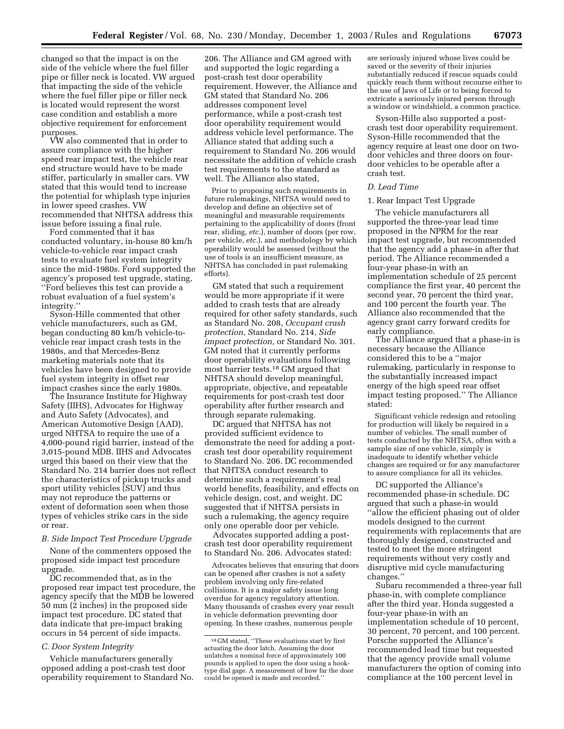changed so that the impact is on the side of the vehicle where the fuel filler pipe or filler neck is located. VW argued that impacting the side of the vehicle where the fuel filler pipe or filler neck is located would represent the worst case condition and establish a more objective requirement for enforcement purposes.

VW also commented that in order to assure compliance with the higher speed rear impact test, the vehicle rear end structure would have to be made stiffer, particularly in smaller cars. VW stated that this would tend to increase the potential for whiplash type injuries in lower speed crashes. VW recommended that NHTSA address this issue before issuing a final rule.

Ford commented that it has conducted voluntary, in-house 80 km/h vehicle-to-vehicle rear impact crash tests to evaluate fuel system integrity since the mid-1980s. Ford supported the agency's proposed test upgrade, stating, ''Ford believes this test can provide a robust evaluation of a fuel system's integrity.''

Syson-Hille commented that other vehicle manufacturers, such as GM, began conducting 80 km/h vehicle-tovehicle rear impact crash tests in the 1980s, and that Mercedes-Benz marketing materials note that its vehicles have been designed to provide fuel system integrity in offset rear impact crashes since the early 1980s.

The Insurance Institute for Highway Safety (IIHS), Advocates for Highway and Auto Safety (Advocates), and American Automotive Design (AAD), urged NHTSA to require the use of a 4,000-pound rigid barrier, instead of the 3,015-pound MDB. IIHS and Advocates urged this based on their view that the Standard No. 214 barrier does not reflect the characteristics of pickup trucks and sport utility vehicles (SUV) and thus may not reproduce the patterns or extent of deformation seen when those types of vehicles strike cars in the side or rear.

# *B. Side Impact Test Procedure Upgrade*

None of the commenters opposed the proposed side impact test procedure upgrade.

DC recommended that, as in the proposed rear impact test procedure, the agency specify that the MDB be lowered 50 mm (2 inches) in the proposed side impact test procedure. DC stated that data indicate that pre-impact braking occurs in 54 percent of side impacts.

# *C. Door System Integrity*

Vehicle manufacturers generally opposed adding a post-crash test door operability requirement to Standard No. 206. The Alliance and GM agreed with and supported the logic regarding a post-crash test door operability requirement. However, the Alliance and GM stated that Standard No. 206 addresses component level performance, while a post-crash test door operability requirement would address vehicle level performance. The Alliance stated that adding such a requirement to Standard No. 206 would necessitate the addition of vehicle crash test requirements to the standard as well. The Alliance also stated,

Prior to proposing such requirements in future rulemakings, NHTSA would need to develop and define an objective set of meaningful and measurable requirements pertaining to the applicability of doors (front rear, sliding, *etc.*), number of doors (per row, per vehicle, *etc.*), and methodology by which operability would be assessed (without the use of tools is an insufficient measure, as NHTSA has concluded in past rulemaking efforts).

GM stated that such a requirement would be more appropriate if it were added to crash tests that are already required for other safety standards, such as Standard No. 208, *Occupant crash protection,* Standard No. 214, *Side impact protection,* or Standard No. 301. GM noted that it currently performs door operability evaluations following most barrier tests.18 GM argued that NHTSA should develop meaningful, appropriate, objective, and repeatable requirements for post-crash test door operability after further research and through separate rulemaking.

DC argued that NHTSA has not provided sufficient evidence to demonstrate the need for adding a postcrash test door operability requirement to Standard No. 206. DC recommended that NHTSA conduct research to determine such a requirement's real world benefits, feasibility, and effects on vehicle design, cost, and weight. DC suggested that if NHTSA persists in such a rulemaking, the agency require only one operable door per vehicle.

Advocates supported adding a postcrash test door operability requirement to Standard No. 206. Advocates stated:

Advocates believes that ensuring that doors can be opened after crashes is not a safety problem involving only fire-related collisions. It is a major safety issue long overdue for agency regulatory attention. Many thousands of crashes every year result in vehicle deformation preventing door opening. In these crashes, numerous people

are seriously injured whose lives could be saved or the severity of their injuries substantially reduced if rescue squads could quickly reach them without recourse either to the use of Jaws of Life or to being forced to extricate a seriously injured person through a window or windshield, a common practice.

Syson-Hille also supported a postcrash test door operability requirement. Syson-Hille recommended that the agency require at least one door on twodoor vehicles and three doors on fourdoor vehicles to be operable after a crash test.

# *D. Lead Time*

# 1. Rear Impact Test Upgrade

The vehicle manufacturers all supported the three-year lead time proposed in the NPRM for the rear impact test upgrade, but recommended that the agency add a phase-in after that period. The Alliance recommended a four-year phase-in with an implementation schedule of 25 percent compliance the first year, 40 percent the second year, 70 percent the third year, and 100 percent the fourth year. The Alliance also recommended that the agency grant carry forward credits for early compliance.

The Alliance argued that a phase-in is necessary because the Alliance considered this to be a ''major rulemaking, particularly in response to the substantially increased impact energy of the high speed rear offset impact testing proposed.'' The Alliance stated:

Significant vehicle redesign and retooling for production will likely be required in a number of vehicles. The small number of tests conducted by the NHTSA, often with a sample size of one vehicle, simply is inadequate to identify whether vehicle changes are required or for any manufacturer to assure compliance for all its vehicles.

DC supported the Alliance's recommended phase-in schedule. DC argued that such a phase-in would ''allow the efficient phasing out of older models designed to the current requirements with replacements that are thoroughly designed, constructed and tested to meet the more stringent requirements without very costly and disruptive mid cycle manufacturing changes.''

Subaru recommended a three-year full phase-in, with complete compliance after the third year. Honda suggested a four-year phase-in with an implementation schedule of 10 percent, 30 percent, 70 percent, and 100 percent. Porsche supported the Alliance's recommended lead time but requested that the agency provide small volume manufacturers the option of coming into compliance at the 100 percent level in

<sup>18</sup> GM stated, ''These evaluations start by first actuating the door latch. Assuming the door unlatches a nominal force of approximately 100 pounds is applied to open the door using a hooktype dial gage. A measurement of how far the door could be opened is made and recorded.''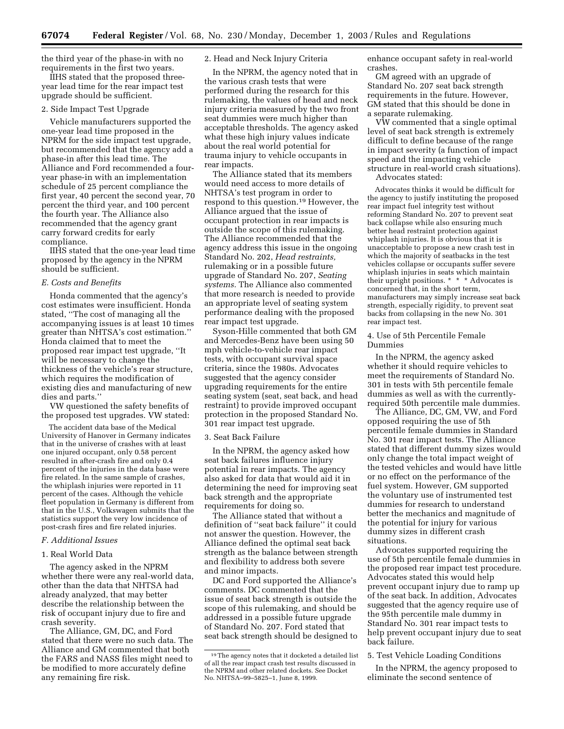the third year of the phase-in with no requirements in the first two years.

IIHS stated that the proposed threeyear lead time for the rear impact test upgrade should be sufficient.

# 2. Side Impact Test Upgrade

Vehicle manufacturers supported the one-year lead time proposed in the NPRM for the side impact test upgrade, but recommended that the agency add a phase-in after this lead time. The Alliance and Ford recommended a fouryear phase-in with an implementation schedule of 25 percent compliance the first year, 40 percent the second year, 70 percent the third year, and 100 percent the fourth year. The Alliance also recommended that the agency grant carry forward credits for early compliance.

IIHS stated that the one-year lead time proposed by the agency in the NPRM should be sufficient.

# *E. Costs and Benefits*

Honda commented that the agency's cost estimates were insufficient. Honda stated, ''The cost of managing all the accompanying issues is at least 10 times greater than NHTSA's cost estimation.'' Honda claimed that to meet the proposed rear impact test upgrade, ''It will be necessary to change the thickness of the vehicle's rear structure, which requires the modification of existing dies and manufacturing of new dies and parts.''

VW questioned the safety benefits of the proposed test upgrades. VW stated:

The accident data base of the Medical University of Hanover in Germany indicates that in the universe of crashes with at least one injured occupant, only 0.58 percent resulted in after-crash fire and only 0.4 percent of the injuries in the data base were fire related. In the same sample of crashes, the whiplash injuries were reported in 11 percent of the cases. Although the vehicle fleet population in Germany is different from that in the U.S., Volkswagen submits that the statistics support the very low incidence of post-crash fires and fire related injuries.

#### *F. Additional Issues*

# 1. Real World Data

The agency asked in the NPRM whether there were any real-world data, other than the data that NHTSA had already analyzed, that may better describe the relationship between the risk of occupant injury due to fire and crash severity.

The Alliance, GM, DC, and Ford stated that there were no such data. The Alliance and GM commented that both the FARS and NASS files might need to be modified to more accurately define any remaining fire risk.

# 2. Head and Neck Injury Criteria

In the NPRM, the agency noted that in the various crash tests that were performed during the research for this rulemaking, the values of head and neck injury criteria measured by the two front seat dummies were much higher than acceptable thresholds. The agency asked what these high injury values indicate about the real world potential for trauma injury to vehicle occupants in rear impacts.

The Alliance stated that its members would need access to more details of NHTSA's test program in order to respond to this question.19 However, the Alliance argued that the issue of occupant protection in rear impacts is outside the scope of this rulemaking. The Alliance recommended that the agency address this issue in the ongoing Standard No. 202, *Head restraints,* rulemaking or in a possible future upgrade of Standard No. 207, *Seating systems.* The Alliance also commented that more research is needed to provide an appropriate level of seating system performance dealing with the proposed rear impact test upgrade.

Syson-Hille commented that both GM and Mercedes-Benz have been using 50 mph vehicle-to-vehicle rear impact tests, with occupant survival space criteria, since the 1980s. Advocates suggested that the agency consider upgrading requirements for the entire seating system (seat, seat back, and head restraint) to provide improved occupant protection in the proposed Standard No. 301 rear impact test upgrade.

### 3. Seat Back Failure

In the NPRM, the agency asked how seat back failures influence injury potential in rear impacts. The agency also asked for data that would aid it in determining the need for improving seat back strength and the appropriate requirements for doing so.

The Alliance stated that without a definition of ''seat back failure'' it could not answer the question. However, the Alliance defined the optimal seat back strength as the balance between strength and flexibility to address both severe and minor impacts.

DC and Ford supported the Alliance's comments. DC commented that the issue of seat back strength is outside the scope of this rulemaking, and should be addressed in a possible future upgrade of Standard No. 207. Ford stated that seat back strength should be designed to enhance occupant safety in real-world crashes.

GM agreed with an upgrade of Standard No. 207 seat back strength requirements in the future. However, GM stated that this should be done in a separate rulemaking.

VW commented that a single optimal level of seat back strength is extremely difficult to define because of the range in impact severity (a function of impact speed and the impacting vehicle structure in real-world crash situations).

Advocates stated:

Advocates thinks it would be difficult for the agency to justify instituting the proposed rear impact fuel integrity test without reforming Standard No. 207 to prevent seat back collapse while also ensuring much better head restraint protection against whiplash injuries. It is obvious that it is unacceptable to propose a new crash test in which the majority of seatbacks in the test vehicles collapse or occupants suffer severe whiplash injuries in seats which maintain their upright positions. \* \* \* Advocates is concerned that, in the short term, manufacturers may simply increase seat back strength, especially rigidity, to prevent seat backs from collapsing in the new No. 301 rear impact test.

# 4. Use of 5th Percentile Female Dummies

In the NPRM, the agency asked whether it should require vehicles to meet the requirements of Standard No. 301 in tests with 5th percentile female dummies as well as with the currentlyrequired 50th percentile male dummies.

The Alliance, DC, GM, VW, and Ford opposed requiring the use of 5th percentile female dummies in Standard No. 301 rear impact tests. The Alliance stated that different dummy sizes would only change the total impact weight of the tested vehicles and would have little or no effect on the performance of the fuel system. However, GM supported the voluntary use of instrumented test dummies for research to understand better the mechanics and magnitude of the potential for injury for various dummy sizes in different crash situations.

Advocates supported requiring the use of 5th percentile female dummies in the proposed rear impact test procedure. Advocates stated this would help prevent occupant injury due to ramp up of the seat back. In addition, Advocates suggested that the agency require use of the 95th percentile male dummy in Standard No. 301 rear impact tests to help prevent occupant injury due to seat back failure.

# 5. Test Vehicle Loading Conditions

In the NPRM, the agency proposed to eliminate the second sentence of

<sup>19</sup>The agency notes that it docketed a detailed list of all the rear impact crash test results discussed in the NPRM and other related dockets. See Docket No. NHTSA–99–5825–1, June 8, 1999.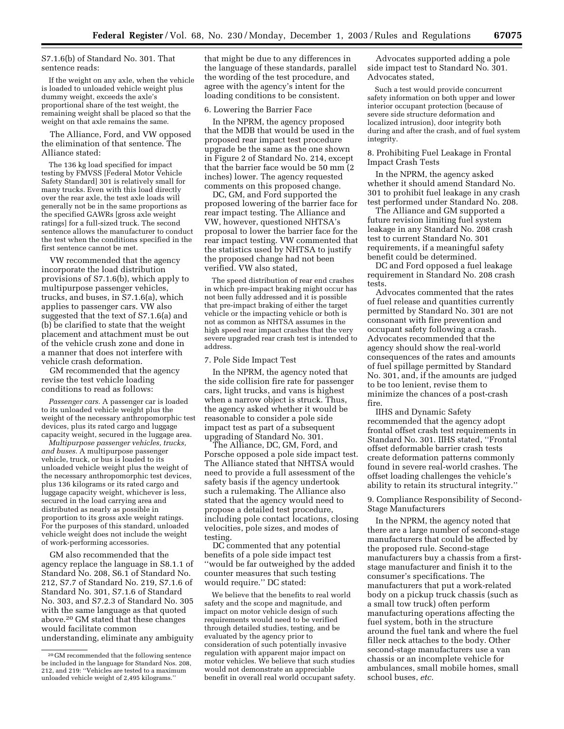S7.1.6(b) of Standard No. 301. That sentence reads:

If the weight on any axle, when the vehicle is loaded to unloaded vehicle weight plus dummy weight, exceeds the axle's proportional share of the test weight, the remaining weight shall be placed so that the weight on that axle remains the same.

The Alliance, Ford, and VW opposed the elimination of that sentence. The Alliance stated:

The 136 kg load specified for impact testing by FMVSS [Federal Motor Vehicle Safety Standard] 301 is relatively small for many trucks. Even with this load directly over the rear axle, the test axle loads will generally not be in the same proportions as the specified GAWRs [gross axle weight ratings] for a full-sized truck. The second sentence allows the manufacturer to conduct the test when the conditions specified in the first sentence cannot be met.

VW recommended that the agency incorporate the load distribution provisions of S7.1.6(b), which apply to multipurpose passenger vehicles, trucks, and buses, in S7.1.6(a), which applies to passenger cars. VW also suggested that the text of S7.1.6(a) and (b) be clarified to state that the weight placement and attachment must be out of the vehicle crush zone and done in a manner that does not interfere with vehicle crash deformation.

GM recommended that the agency revise the test vehicle loading conditions to read as follows:

*Passenger cars.* A passenger car is loaded to its unloaded vehicle weight plus the weight of the necessary anthropomorphic test devices, plus its rated cargo and luggage capacity weight, secured in the luggage area.

*Multipurpose passenger vehicles, trucks, and buses.* A multipurpose passenger vehicle, truck, or bus is loaded to its unloaded vehicle weight plus the weight of the necessary anthropomorphic test devices, plus 136 kilograms or its rated cargo and luggage capacity weight, whichever is less, secured in the load carrying area and distributed as nearly as possible in proportion to its gross axle weight ratings. For the purposes of this standard, unloaded vehicle weight does not include the weight of work-performing accessories.

GM also recommended that the agency replace the language in S8.1.1 of Standard No. 208, S6.1 of Standard No. 212, S7.7 of Standard No. 219, S7.1.6 of Standard No. 301, S7.1.6 of Standard No. 303, and S7.2.3 of Standard No. 305 with the same language as that quoted above.20 GM stated that these changes would facilitate common

understanding, eliminate any ambiguity

that might be due to any differences in the language of these standards, parallel the wording of the test procedure, and agree with the agency's intent for the loading conditions to be consistent.

# 6. Lowering the Barrier Face

In the NPRM, the agency proposed that the MDB that would be used in the proposed rear impact test procedure upgrade be the same as the one shown in Figure 2 of Standard No. 214, except that the barrier face would be 50 mm (2 inches) lower. The agency requested comments on this proposed change.

DC, GM, and Ford supported the proposed lowering of the barrier face for rear impact testing. The Alliance and VW, however, questioned NHTSA's proposal to lower the barrier face for the rear impact testing. VW commented that the statistics used by NHTSA to justify the proposed change had not been verified. VW also stated,

The speed distribution of rear end crashes in which pre-impact braking might occur has not been fully addressed and it is possible that pre-impact braking of either the target vehicle or the impacting vehicle or both is not as common as NHTSA assumes in the high speed rear impact crashes that the very severe upgraded rear crash test is intended to address.

# 7. Pole Side Impact Test

In the NPRM, the agency noted that the side collision fire rate for passenger cars, light trucks, and vans is highest when a narrow object is struck. Thus, the agency asked whether it would be reasonable to consider a pole side impact test as part of a subsequent upgrading of Standard No. 301.

The Alliance, DC, GM, Ford, and Porsche opposed a pole side impact test. The Alliance stated that NHTSA would need to provide a full assessment of the safety basis if the agency undertook such a rulemaking. The Alliance also stated that the agency would need to propose a detailed test procedure, including pole contact locations, closing velocities, pole sizes, and modes of testing.

DC commented that any potential benefits of a pole side impact test ''would be far outweighed by the added counter measures that such testing would require.'' DC stated:

We believe that the benefits to real world safety and the scope and magnitude, and impact on motor vehicle design of such requirements would need to be verified through detailed studies, testing, and be evaluated by the agency prior to consideration of such potentially invasive regulation with apparent major impact on motor vehicles. We believe that such studies would not demonstrate an appreciable benefit in overall real world occupant safety.

Advocates supported adding a pole side impact test to Standard No. 301. Advocates stated,

Such a test would provide concurrent safety information on both upper and lower interior occupant protection (because of severe side structure deformation and localized intrusion), door integrity both during and after the crash, and of fuel system integrity.

8. Prohibiting Fuel Leakage in Frontal Impact Crash Tests

In the NPRM, the agency asked whether it should amend Standard No. 301 to prohibit fuel leakage in any crash test performed under Standard No. 208.

The Alliance and GM supported a future revision limiting fuel system leakage in any Standard No. 208 crash test to current Standard No. 301 requirements, if a meaningful safety benefit could be determined.

DC and Ford opposed a fuel leakage requirement in Standard No. 208 crash tests.

Advocates commented that the rates of fuel release and quantities currently permitted by Standard No. 301 are not consonant with fire prevention and occupant safety following a crash. Advocates recommended that the agency should show the real-world consequences of the rates and amounts of fuel spillage permitted by Standard No. 301, and, if the amounts are judged to be too lenient, revise them to minimize the chances of a post-crash fire.

IIHS and Dynamic Safety recommended that the agency adopt frontal offset crash test requirements in Standard No. 301. IIHS stated, ''Frontal offset deformable barrier crash tests create deformation patterns commonly found in severe real-world crashes. The offset loading challenges the vehicle's ability to retain its structural integrity.''

# 9. Compliance Responsibility of Second-Stage Manufacturers

In the NPRM, the agency noted that there are a large number of second-stage manufacturers that could be affected by the proposed rule. Second-stage manufacturers buy a chassis from a firststage manufacturer and finish it to the consumer's specifications. The manufacturers that put a work-related body on a pickup truck chassis (such as a small tow truck) often perform manufacturing operations affecting the fuel system, both in the structure around the fuel tank and where the fuel filler neck attaches to the body. Other second-stage manufacturers use a van chassis or an incomplete vehicle for ambulances, small mobile homes, small school buses, *etc.*

<sup>20</sup> GM recommended that the following sentence be included in the language for Standard Nos. 208, 212, and 219: ''Vehicles are tested to a maximum unloaded vehicle weight of 2,495 kilograms.''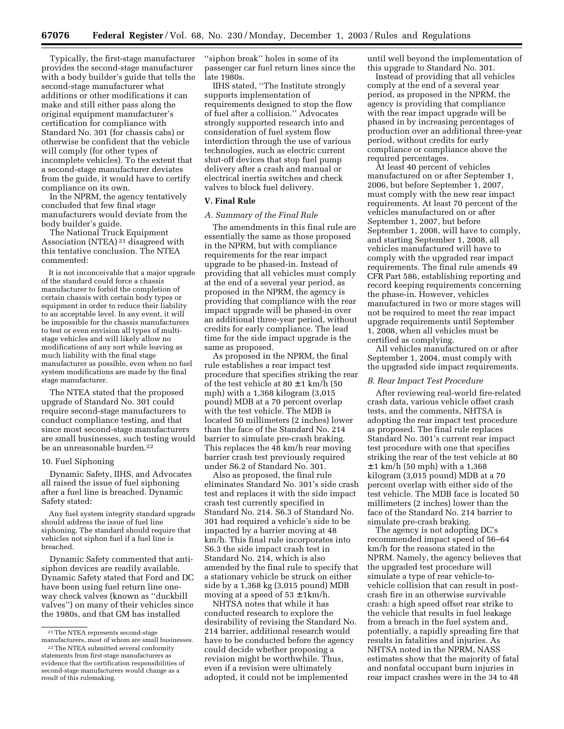Typically, the first-stage manufacturer provides the second-stage manufacturer with a body builder's guide that tells the second-stage manufacturer what additions or other modifications it can make and still either pass along the original equipment manufacturer's certification for compliance with Standard No. 301 (for chassis cabs) or otherwise be confident that the vehicle will comply (for other types of incomplete vehicles). To the extent that a second-stage manufacturer deviates from the guide, it would have to certify compliance on its own.

In the NPRM, the agency tentatively concluded that few final stage manufacturers would deviate from the body builder's guide.

The National Truck Equipment Association (NTEA) 21 disagreed with this tentative conclusion. The NTEA commented:

It is not inconceivable that a major upgrade of the standard could force a chassis manufacturer to forbid the completion of certain chassis with certain body types or equipment in order to reduce their liability to an acceptable level. In any event, it will be impossible for the chassis manufacturers to test or even envision all types of multistage vehicles and will likely allow no modifications of any sort while leaving as much liability with the final stage manufacturer as possible, even when no fuel system modifications are made by the final stage manufacturer.

The NTEA stated that the proposed upgrade of Standard No. 301 could require second-stage manufacturers to conduct compliance testing, and that since most second-stage manufacturers are small businesses, such testing would be an unreasonable burden.22

# 10. Fuel Siphoning

Dynamic Safety, IIHS, and Advocates all raised the issue of fuel siphoning after a fuel line is breached. Dynamic Safety stated:

Any fuel system integrity standard upgrade should address the issue of fuel line siphoning. The standard should require that vehicles not siphon fuel if a fuel line is breached.

Dynamic Safety commented that antisiphon devices are readily available. Dynamic Safety stated that Ford and DC have been using fuel return line oneway check valves (known as ''duckbill valves'') on many of their vehicles since the 1980s, and that GM has installed

''siphon break'' holes in some of its passenger car fuel return lines since the late 1980s.

IIHS stated, ''The Institute strongly supports implementation of requirements designed to stop the flow of fuel after a collision.'' Advocates strongly supported research into and consideration of fuel system flow interdiction through the use of various technologies, such as electric current shut-off devices that stop fuel pump delivery after a crash and manual or electrical inertia switches and check valves to block fuel delivery.

# **V. Final Rule**

#### *A. Summary of the Final Rule*

The amendments in this final rule are essentially the same as those proposed in the NPRM, but with compliance requirements for the rear impact upgrade to be phased-in. Instead of providing that all vehicles must comply at the end of a several year period, as proposed in the NPRM, the agency is providing that compliance with the rear impact upgrade will be phased-in over an additional three-year period, without credits for early compliance. The lead time for the side impact upgrade is the same as proposed.

As proposed in the NPRM, the final rule establishes a rear impact test procedure that specifies striking the rear of the test vehicle at  $80 \pm 1$  km/h (50) mph) with a 1,368 kilogram (3,015 pound) MDB at a 70 percent overlap with the test vehicle. The MDB is located 50 millimeters (2 inches) lower than the face of the Standard No. 214 barrier to simulate pre-crash braking. This replaces the 48 km/h rear moving barrier crash test previously required under S6.2 of Standard No. 301.

Also as proposed, the final rule eliminates Standard No. 301's side crash test and replaces it with the side impact crash test currently specified in Standard No. 214. S6.3 of Standard No. 301 had required a vehicle's side to be impacted by a barrier moving at 48 km/h. This final rule incorporates into S6.3 the side impact crash test in Standard No. 214, which is also amended by the final rule to specify that a stationary vehicle be struck on either side by a 1,368 kg (3,015 pound) MDB moving at a speed of  $53 \pm 1 \text{km/h}$ .

NHTSA notes that while it has conducted research to explore the desirability of revising the Standard No. 214 barrier, additional research would have to be conducted before the agency could decide whether proposing a revision might be worthwhile. Thus, even if a revision were ultimately adopted, it could not be implemented

until well beyond the implementation of this upgrade to Standard No. 301.

Instead of providing that all vehicles comply at the end of a several year period, as proposed in the NPRM, the agency is providing that compliance with the rear impact upgrade will be phased in by increasing percentages of production over an additional three-year period, without credits for early compliance or compliance above the required percentages.

At least 40 percent of vehicles manufactured on or after September 1, 2006, but before September 1, 2007, must comply with the new rear impact requirements. At least 70 percent of the vehicles manufactured on or after September 1, 2007, but before September 1, 2008, will have to comply, and starting September 1, 2008, all vehicles manufactured will have to comply with the upgraded rear impact requirements. The final rule amends 49 CFR Part 586, establishing reporting and record keeping requirements concerning the phase-in. However, vehicles manufactured in two or more stages will not be required to meet the rear impact upgrade requirements until September 1, 2008, when all vehicles must be certified as complying.

All vehicles manufactured on or after September 1, 2004, must comply with the upgraded side impact requirements.

# *B. Rear Impact Test Procedure*

After reviewing real-world fire-related crash data, various vehicle offset crash tests, and the comments, NHTSA is adopting the rear impact test procedure as proposed. The final rule replaces Standard No. 301's current rear impact test procedure with one that specifies striking the rear of the test vehicle at 80  $\pm$  1 km/h (50 mph) with a 1,368 kilogram (3,015 pound) MDB at a 70 percent overlap with either side of the test vehicle. The MDB face is located 50 millimeters (2 inches) lower than the face of the Standard No. 214 barrier to simulate pre-crash braking.

The agency is not adopting DC's recommended impact speed of 56–64 km/h for the reasons stated in the NPRM. Namely, the agency believes that the upgraded test procedure will simulate a type of rear vehicle-tovehicle collision that can result in postcrash fire in an otherwise survivable crash: a high speed offset rear strike to the vehicle that results in fuel leakage from a breach in the fuel system and, potentially, a rapidly spreading fire that results in fatalities and injuries. As NHTSA noted in the NPRM, NASS estimates show that the majority of fatal and nonfatal occupant burn injuries in rear impact crashes were in the 34 to 48

<sup>21</sup>The NTEA represents second-stage manufacturers, most of whom are small businesses.

<sup>22</sup>The NTEA submitted several conformity statements from first-stage manufacturers as evidence that the certification responsibilities of second-stage manufacturers would change as a result of this rulemaking.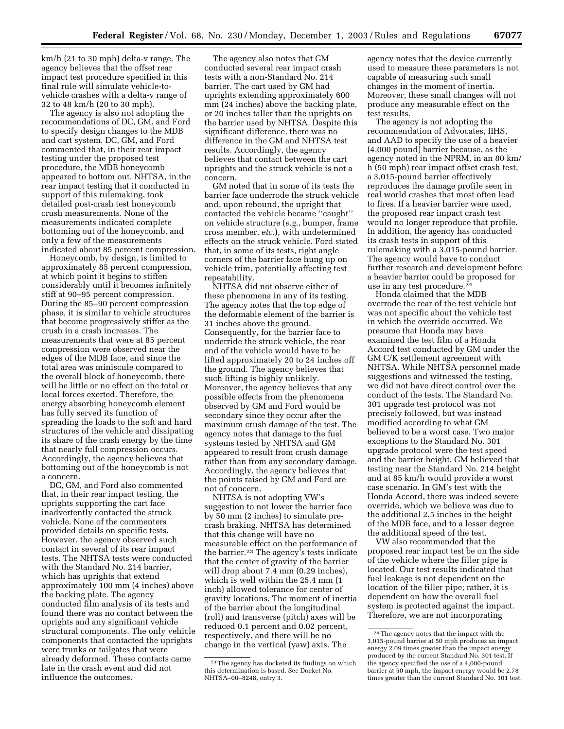km/h (21 to 30 mph) delta-v range. The agency believes that the offset rear impact test procedure specified in this final rule will simulate vehicle-tovehicle crashes with a delta-v range of 32 to 48 km/h (20 to 30 mph).

The agency is also not adopting the recommendations of DC, GM, and Ford to specify design changes to the MDB and cart system. DC, GM, and Ford commented that, in their rear impact testing under the proposed test procedure, the MDB honeycomb appeared to bottom out. NHTSA, in the rear impact testing that it conducted in support of this rulemaking, took detailed post-crash test honeycomb crush measurements. None of the measurements indicated complete bottoming out of the honeycomb, and only a few of the measurements indicated about 85 percent compression.

Honeycomb, by design, is limited to approximately 85 percent compression, at which point it begins to stiffen considerably until it becomes infinitely stiff at 90–95 percent compression. During the 85–90 percent compression phase, it is similar to vehicle structures that become progressively stiffer as the crush in a crash increases. The measurements that were at 85 percent compression were observed near the edges of the MDB face, and since the total area was miniscule compared to the overall block of honeycomb, there will be little or no effect on the total or local forces exerted. Therefore, the energy absorbing honeycomb element has fully served its function of spreading the loads to the soft and hard structures of the vehicle and dissipating its share of the crash energy by the time that nearly full compression occurs. Accordingly, the agency believes that bottoming out of the honeycomb is not a concern.

DC, GM, and Ford also commented that, in their rear impact testing, the uprights supporting the cart face inadvertently contacted the struck vehicle. None of the commenters provided details on specific tests. However, the agency observed such contact in several of its rear impact tests. The NHTSA tests were conducted with the Standard No. 214 barrier, which has uprights that extend approximately 100 mm (4 inches) above the backing plate. The agency conducted film analysis of its tests and found there was no contact between the uprights and any significant vehicle structural components. The only vehicle components that contacted the uprights were trunks or tailgates that were already deformed. These contacts came late in the crash event and did not influence the outcomes.

The agency also notes that GM conducted several rear impact crash tests with a non-Standard No. 214 barrier. The cart used by GM had uprights extending approximately 600 mm (24 inches) above the backing plate, or 20 inches taller than the uprights on the barrier used by NHTSA. Despite this significant difference, there was no difference in the GM and NHTSA test results. Accordingly, the agency believes that contact between the cart uprights and the struck vehicle is not a concern.

GM noted that in some of its tests the barrier face underrode the struck vehicle and, upon rebound, the upright that contacted the vehicle became ''caught'' on vehicle structure (*e.g.*, bumper, frame cross member, *etc.*), with undetermined effects on the struck vehicle. Ford stated that, in some of its tests, right angle corners of the barrier face hung up on vehicle trim, potentially affecting test repeatability.

NHTSA did not observe either of these phenomena in any of its testing. The agency notes that the top edge of the deformable element of the barrier is 31 inches above the ground. Consequently, for the barrier face to underride the struck vehicle, the rear end of the vehicle would have to be lifted approximately 20 to 24 inches off the ground. The agency believes that such lifting is highly unlikely. Moreover, the agency believes that any possible effects from the phenomena observed by GM and Ford would be secondary since they occur after the maximum crush damage of the test. The agency notes that damage to the fuel systems tested by NHTSA and GM appeared to result from crush damage rather than from any secondary damage. Accordingly, the agency believes that the points raised by GM and Ford are not of concern.

NHTSA is not adopting VW's suggestion to not lower the barrier face by 50 mm (2 inches) to simulate precrash braking. NHTSA has determined that this change will have no measurable effect on the performance of the barrier.23 The agency's tests indicate that the center of gravity of the barrier will drop about 7.4 mm (0.29 inches), which is well within the 25.4 mm (1 inch) allowed tolerance for center of gravity locations. The moment of inertia of the barrier about the longitudinal (roll) and transverse (pitch) axes will be reduced 0.1 percent and 0.02 percent, respectively, and there will be no change in the vertical (yaw) axis. The

agency notes that the device currently used to measure these parameters is not capable of measuring such small changes in the moment of inertia. Moreover, these small changes will not produce any measurable effect on the test results.

The agency is not adopting the recommendation of Advocates, IIHS, and AAD to specify the use of a heavier (4,000 pound) barrier because, as the agency noted in the NPRM, in an 80 km/ h (50 mph) rear impact offset crash test, a 3,015-pound barrier effectively reproduces the damage profile seen in real world crashes that most often lead to fires. If a heavier barrier were used, the proposed rear impact crash test would no longer reproduce that profile. In addition, the agency has conducted its crash tests in support of this rulemaking with a 3,015-pound barrier. The agency would have to conduct further research and development before a heavier barrier could be proposed for use in any test procedure.24

Honda claimed that the MDB overrode the rear of the test vehicle but was not specific about the vehicle test in which the override occurred. We presume that Honda may have examined the test film of a Honda Accord test conducted by GM under the GM C/K settlement agreement with NHTSA. While NHTSA personnel made suggestions and witnessed the testing, we did not have direct control over the conduct of the tests. The Standard No. 301 upgrade test protocol was not precisely followed, but was instead modified according to what GM believed to be a worst case. Two major exceptions to the Standard No. 301 upgrade protocol were the test speed and the barrier height. GM believed that testing near the Standard No. 214 height and at 85 km/h would provide a worst case scenario. In GM's test with the Honda Accord, there was indeed severe override, which we believe was due to the additional 2.5 inches in the height of the MDB face, and to a lesser degree the additional speed of the test.

VW also recommended that the proposed rear impact test be on the side of the vehicle where the filler pipe is located. Our test results indicated that fuel leakage is not dependent on the location of the filler pipe; rather, it is dependent on how the overall fuel system is protected against the impact. Therefore, we are not incorporating

<sup>23</sup>The agency has docketed its findings on which this determination is based. See Docket No. NHTSA–00–8248, entry 3.

<sup>24</sup>The agency notes that the impact with the 3,015-pound barrier at 50 mph produces an impact energy 2.09 times greater than the impact energy produced by the current Standard No. 301 test. If the agency specified the use of a 4,000-pound barrier at 50 mph, the impact energy would be 2.78 times greater than the current Standard No. 301 test.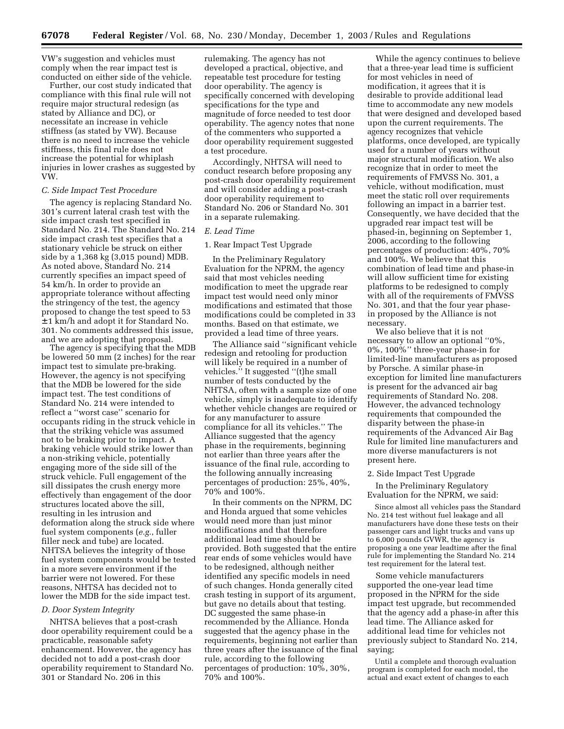VW's suggestion and vehicles must comply when the rear impact test is conducted on either side of the vehicle.

Further, our cost study indicated that compliance with this final rule will not require major structural redesign (as stated by Alliance and DC), or necessitate an increase in vehicle stiffness (as stated by VW). Because there is no need to increase the vehicle stiffness, this final rule does not increase the potential for whiplash injuries in lower crashes as suggested by VW.

# *C. Side Impact Test Procedure*

The agency is replacing Standard No. 301's current lateral crash test with the side impact crash test specified in Standard No. 214. The Standard No. 214 side impact crash test specifies that a stationary vehicle be struck on either side by a 1,368 kg (3,015 pound) MDB. As noted above, Standard No. 214 currently specifies an impact speed of 54 km/h. In order to provide an appropriate tolerance without affecting the stringency of the test, the agency proposed to change the test speed to 53 ± 1 km/h and adopt it for Standard No. 301. No comments addressed this issue, and we are adopting that proposal.

The agency is specifying that the MDB be lowered 50 mm (2 inches) for the rear impact test to simulate pre-braking. However, the agency is not specifying that the MDB be lowered for the side impact test. The test conditions of Standard No. 214 were intended to reflect a ''worst case'' scenario for occupants riding in the struck vehicle in that the striking vehicle was assumed not to be braking prior to impact. A braking vehicle would strike lower than a non-striking vehicle, potentially engaging more of the side sill of the struck vehicle. Full engagement of the sill dissipates the crush energy more effectively than engagement of the door structures located above the sill, resulting in les intrusion and deformation along the struck side where fuel system components (*e.g.*, fuller filler neck and tube) are located. NHTSA believes the integrity of those fuel system components would be tested in a more severe environment if the barrier were not lowered. For these reasons, NHTSA has decided not to lower the MDB for the side impact test.

# *D. Door System Integrity*

NHTSA believes that a post-crash door operability requirement could be a practicable, reasonable safety enhancement. However, the agency has decided not to add a post-crash door operability requirement to Standard No. 301 or Standard No. 206 in this

rulemaking. The agency has not developed a practical, objective, and repeatable test procedure for testing door operability. The agency is specifically concerned with developing specifications for the type and magnitude of force needed to test door operability. The agency notes that none of the commenters who supported a door operability requirement suggested a test procedure.

Accordingly, NHTSA will need to conduct research before proposing any post-crash door operability requirement and will consider adding a post-crash door operability requirement to Standard No. 206 or Standard No. 301 in a separate rulemaking.

# *E. Lead Time*

#### 1. Rear Impact Test Upgrade

In the Preliminary Regulatory Evaluation for the NPRM, the agency said that most vehicles needing modification to meet the upgrade rear impact test would need only minor modifications and estimated that those modifications could be completed in 33 months. Based on that estimate, we provided a lead time of three years.

The Alliance said ''significant vehicle redesign and retooling for production will likely be required in a number of vehicles." It suggested "(t)he small number of tests conducted by the NHTSA, often with a sample size of one vehicle, simply is inadequate to identify whether vehicle changes are required or for any manufacturer to assure compliance for all its vehicles.'' The Alliance suggested that the agency phase in the requirements, beginning not earlier than three years after the issuance of the final rule, according to the following annually increasing percentages of production: 25%, 40%, 70% and 100%.

In their comments on the NPRM, DC and Honda argued that some vehicles would need more than just minor modifications and that therefore additional lead time should be provided. Both suggested that the entire rear ends of some vehicles would have to be redesigned, although neither identified any specific models in need of such changes. Honda generally cited crash testing in support of its argument, but gave no details about that testing. DC suggested the same phase-in recommended by the Alliance. Honda suggested that the agency phase in the requirements, beginning not earlier than three years after the issuance of the final rule, according to the following percentages of production: 10%, 30%, 70% and 100%.

While the agency continues to believe that a three-year lead time is sufficient for most vehicles in need of modification, it agrees that it is desirable to provide additional lead time to accommodate any new models that were designed and developed based upon the current requirements. The agency recognizes that vehicle platforms, once developed, are typically used for a number of years without major structural modification. We also recognize that in order to meet the requirements of FMVSS No. 301, a vehicle, without modification, must meet the static roll over requirements following an impact in a barrier test. Consequently, we have decided that the upgraded rear impact test will be phased-in, beginning on September 1, 2006, according to the following percentages of production: 40%, 70% and 100%. We believe that this combination of lead time and phase-in will allow sufficient time for existing platforms to be redesigned to comply with all of the requirements of FMVSS No. 301, and that the four year phasein proposed by the Alliance is not necessary.

We also believe that it is not necessary to allow an optional ''0%, 0%, 100%'' three-year phase-in for limited-line manufacturers as proposed by Porsche. A similar phase-in exception for limited line manufacturers is present for the advanced air bag requirements of Standard No. 208. However, the advanced technology requirements that compounded the disparity between the phase-in requirements of the Advanced Air Bag Rule for limited line manufacturers and more diverse manufacturers is not present here.

# 2. Side Impact Test Upgrade

In the Preliminary Regulatory Evaluation for the NPRM, we said:

Since almost all vehicles pass the Standard No. 214 test without fuel leakage and all manufacturers have done these tests on their passenger cars and light trucks and vans up to 6,000 pounds GVWR, the agency is proposing a one year leadtime after the final rule for implementing the Standard No. 214 test requirement for the lateral test.

Some vehicle manufacturers supported the one-year lead time proposed in the NPRM for the side impact test upgrade, but recommended that the agency add a phase-in after this lead time. The Alliance asked for additional lead time for vehicles not previously subject to Standard No. 214, saying;

Until a complete and thorough evaluation program is completed for each model, the actual and exact extent of changes to each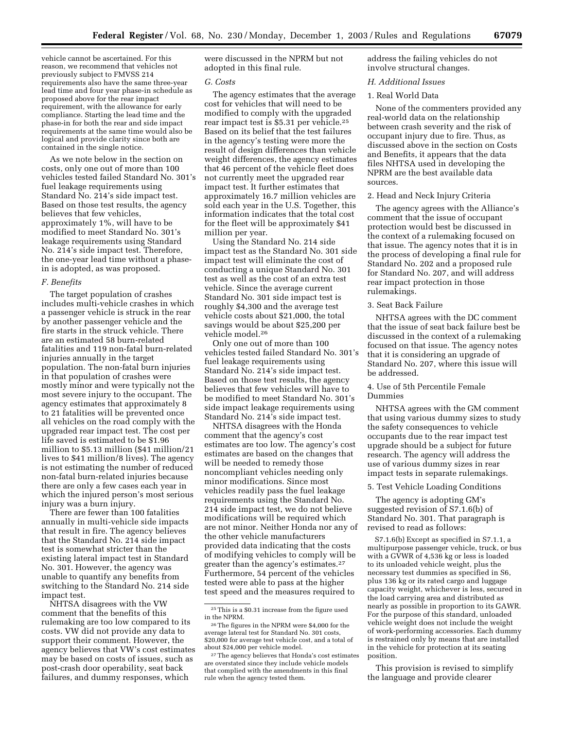vehicle cannot be ascertained. For this reason, we recommend that vehicles not previously subject to FMVSS 214 requirements also have the same three-year lead time and four year phase-in schedule as proposed above for the rear impact requirement, with the allowance for early compliance. Starting the lead time and the phase-in for both the rear and side impact requirements at the same time would also be logical and provide clarity since both are contained in the single notice.

As we note below in the section on costs, only one out of more than 100 vehicles tested failed Standard No. 301's fuel leakage requirements using Standard No. 214's side impact test. Based on those test results, the agency believes that few vehicles, approximately 1%, will have to be modified to meet Standard No. 301's leakage requirements using Standard No. 214's side impact test. Therefore, the one-year lead time without a phasein is adopted, as was proposed.

# *F. Benefits*

The target population of crashes includes multi-vehicle crashes in which a passenger vehicle is struck in the rear by another passenger vehicle and the fire starts in the struck vehicle. There are an estimated 58 burn-related fatalities and 119 non-fatal burn-related injuries annually in the target population. The non-fatal burn injuries in that population of crashes were mostly minor and were typically not the most severe injury to the occupant. The agency estimates that approximately 8 to 21 fatalities will be prevented once all vehicles on the road comply with the upgraded rear impact test. The cost per life saved is estimated to be \$1.96 million to \$5.13 million (\$41 million/21 lives to \$41 million/8 lives). The agency is not estimating the number of reduced non-fatal burn-related injuries because there are only a few cases each year in which the injured person's most serious injury was a burn injury.

There are fewer than 100 fatalities annually in multi-vehicle side impacts that result in fire. The agency believes that the Standard No. 214 side impact test is somewhat stricter than the existing lateral impact test in Standard No. 301. However, the agency was unable to quantify any benefits from switching to the Standard No. 214 side impact test.

NHTSA disagrees with the VW comment that the benefits of this rulemaking are too low compared to its costs. VW did not provide any data to support their comment. However, the agency believes that VW's cost estimates may be based on costs of issues, such as post-crash door operability, seat back failures, and dummy responses, which

were discussed in the NPRM but not adopted in this final rule.

# *G. Costs*

The agency estimates that the average cost for vehicles that will need to be modified to comply with the upgraded rear impact test is \$5.31 per vehicle.<sup>25</sup> Based on its belief that the test failures in the agency's testing were more the result of design differences than vehicle weight differences, the agency estimates that 46 percent of the vehicle fleet does not currently meet the upgraded rear impact test. It further estimates that approximately 16.7 million vehicles are sold each year in the U.S. Together, this information indicates that the total cost for the fleet will be approximately \$41 million per year.

Using the Standard No. 214 side impact test as the Standard No. 301 side impact test will eliminate the cost of conducting a unique Standard No. 301 test as well as the cost of an extra test vehicle. Since the average current Standard No. 301 side impact test is roughly \$4,300 and the average test vehicle costs about \$21,000, the total savings would be about \$25,200 per vehicle model.26

Only one out of more than 100 vehicles tested failed Standard No. 301's fuel leakage requirements using Standard No. 214's side impact test. Based on those test results, the agency believes that few vehicles will have to be modified to meet Standard No. 301's side impact leakage requirements using Standard No. 214's side impact test.

NHTSA disagrees with the Honda comment that the agency's cost estimates are too low. The agency's cost estimates are based on the changes that will be needed to remedy those noncompliant vehicles needing only minor modifications. Since most vehicles readily pass the fuel leakage requirements using the Standard No. 214 side impact test, we do not believe modifications will be required which are not minor. Neither Honda nor any of the other vehicle manufacturers provided data indicating that the costs of modifying vehicles to comply will be greater than the agency's estimates.27 Furthermore, 54 percent of the vehicles tested were able to pass at the higher test speed and the measures required to

address the failing vehicles do not involve structural changes.

# *H. Additional Issues*

# 1. Real World Data

None of the commenters provided any real-world data on the relationship between crash severity and the risk of occupant injury due to fire. Thus, as discussed above in the section on Costs and Benefits, it appears that the data files NHTSA used in developing the NPRM are the best available data sources.

# 2. Head and Neck Injury Criteria

The agency agrees with the Alliance's comment that the issue of occupant protection would best be discussed in the context of a rulemaking focused on that issue. The agency notes that it is in the process of developing a final rule for Standard No. 202 and a proposed rule for Standard No. 207, and will address rear impact protection in those rulemakings.

# 3. Seat Back Failure

NHTSA agrees with the DC comment that the issue of seat back failure best be discussed in the context of a rulemaking focused on that issue. The agency notes that it is considering an upgrade of Standard No. 207, where this issue will be addressed.

# 4. Use of 5th Percentile Female Dummies

NHTSA agrees with the GM comment that using various dummy sizes to study the safety consequences to vehicle occupants due to the rear impact test upgrade should be a subject for future research. The agency will address the use of various dummy sizes in rear impact tests in separate rulemakings.

#### 5. Test Vehicle Loading Conditions

The agency is adopting GM's suggested revision of S7.1.6(b) of Standard No. 301. That paragraph is revised to read as follows:

S7.1.6(b) Except as specified in S7.1.1, a multipurpose passenger vehicle, truck, or bus with a GVWR of 4,536 kg or less is loaded to its unloaded vehicle weight, plus the necessary test dummies as specified in S6, plus 136 kg or its rated cargo and luggage capacity weight, whichever is less, secured in the load carrying area and distributed as nearly as possible in proportion to its GAWR. For the purpose of this standard, unloaded vehicle weight does not include the weight of work-performing accessories. Each dummy is restrained only by means that are installed in the vehicle for protection at its seating position.

This provision is revised to simplify the language and provide clearer

<sup>25</sup>This is a \$0.31 increase from the figure used in the NPRM.

<sup>26</sup>The figures in the NPRM were \$4,000 for the average lateral test for Standard No. 301 costs, \$20,000 for average test vehicle cost, and a total of about \$24,000 per vehicle model.

<sup>27</sup>The agency believes that Honda's cost estimates are overstated since they include vehicle models that complied with the amendments in this final rule when the agency tested them.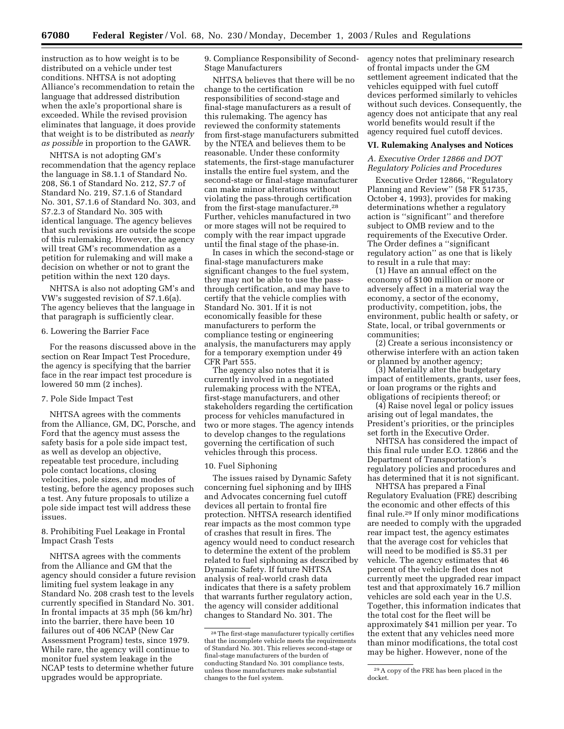instruction as to how weight is to be distributed on a vehicle under test conditions. NHTSA is not adopting Alliance's recommendation to retain the language that addressed distribution when the axle's proportional share is exceeded. While the revised provision eliminates that language, it does provide that weight is to be distributed as *nearly as possible* in proportion to the GAWR.

NHTSA is not adopting GM's recommendation that the agency replace the language in S8.1.1 of Standard No. 208, S6.1 of Standard No. 212, S7.7 of Standard No. 219, S7.1.6 of Standard No. 301, S7.1.6 of Standard No. 303, and S7.2.3 of Standard No. 305 with identical language. The agency believes that such revisions are outside the scope of this rulemaking. However, the agency will treat GM's recommendation as a petition for rulemaking and will make a decision on whether or not to grant the petition within the next 120 days.

NHTSA is also not adopting GM's and VW's suggested revision of S7.1.6(a). The agency believes that the language in that paragraph is sufficiently clear.

# 6. Lowering the Barrier Face

For the reasons discussed above in the section on Rear Impact Test Procedure, the agency is specifying that the barrier face in the rear impact test procedure is lowered 50 mm (2 inches).

# 7. Pole Side Impact Test

NHTSA agrees with the comments from the Alliance, GM, DC, Porsche, and Ford that the agency must assess the safety basis for a pole side impact test, as well as develop an objective, repeatable test procedure, including pole contact locations, closing velocities, pole sizes, and modes of testing, before the agency proposes such a test. Any future proposals to utilize a pole side impact test will address these issues.

# 8. Prohibiting Fuel Leakage in Frontal Impact Crash Tests

NHTSA agrees with the comments from the Alliance and GM that the agency should consider a future revision limiting fuel system leakage in any Standard No. 208 crash test to the levels currently specified in Standard No. 301. In frontal impacts at 35 mph (56 km/hr) into the barrier, there have been 10 failures out of 406 NCAP (New Car Assessment Program) tests, since 1979. While rare, the agency will continue to monitor fuel system leakage in the NCAP tests to determine whether future upgrades would be appropriate.

9. Compliance Responsibility of Second-Stage Manufacturers

NHTSA believes that there will be no change to the certification responsibilities of second-stage and final-stage manufacturers as a result of this rulemaking. The agency has reviewed the conformity statements from first-stage manufacturers submitted by the NTEA and believes them to be reasonable. Under these conformity statements, the first-stage manufacturer installs the entire fuel system, and the second-stage or final-stage manufacturer can make minor alterations without violating the pass-through certification from the first-stage manufacturer.28 Further, vehicles manufactured in two or more stages will not be required to comply with the rear impact upgrade until the final stage of the phase-in.

In cases in which the second-stage or final-stage manufacturers make significant changes to the fuel system, they may not be able to use the passthrough certification, and may have to certify that the vehicle complies with Standard No. 301. If it is not economically feasible for these manufacturers to perform the compliance testing or engineering analysis, the manufacturers may apply for a temporary exemption under 49 CFR Part 555.

The agency also notes that it is currently involved in a negotiated rulemaking process with the NTEA, first-stage manufacturers, and other stakeholders regarding the certification process for vehicles manufactured in two or more stages. The agency intends to develop changes to the regulations governing the certification of such vehicles through this process.

# 10. Fuel Siphoning

The issues raised by Dynamic Safety concerning fuel siphoning and by IIHS and Advocates concerning fuel cutoff devices all pertain to frontal fire protection. NHTSA research identified rear impacts as the most common type of crashes that result in fires. The agency would need to conduct research to determine the extent of the problem related to fuel siphoning as described by Dynamic Safety. If future NHTSA analysis of real-world crash data indicates that there is a safety problem that warrants further regulatory action, the agency will consider additional changes to Standard No. 301. The

agency notes that preliminary research of frontal impacts under the GM settlement agreement indicated that the vehicles equipped with fuel cutoff devices performed similarly to vehicles without such devices. Consequently, the agency does not anticipate that any real world benefits would result if the agency required fuel cutoff devices.

# **VI. Rulemaking Analyses and Notices**

# *A. Executive Order 12866 and DOT Regulatory Policies and Procedures*

Executive Order 12866, ''Regulatory Planning and Review'' (58 FR 51735, October 4, 1993), provides for making determinations whether a regulatory action is ''significant'' and therefore subject to OMB review and to the requirements of the Executive Order. The Order defines a ''significant regulatory action'' as one that is likely to result in a rule that may:

(1) Have an annual effect on the economy of \$100 million or more or adversely affect in a material way the economy, a sector of the economy, productivity, competition, jobs, the environment, public health or safety, or State, local, or tribal governments or communities;

(2) Create a serious inconsistency or otherwise interfere with an action taken or planned by another agency;

(3) Materially alter the budgetary impact of entitlements, grants, user fees, or loan programs or the rights and obligations of recipients thereof; or

(4) Raise novel legal or policy issues arising out of legal mandates, the President's priorities, or the principles set forth in the Executive Order.

NHTSA has considered the impact of this final rule under E.O. 12866 and the Department of Transportation's regulatory policies and procedures and has determined that it is not significant.

NHTSA has prepared a Final Regulatory Evaluation (FRE) describing the economic and other effects of this final rule.29 If only minor modifications are needed to comply with the upgraded rear impact test, the agency estimates that the average cost for vehicles that will need to be modified is \$5.31 per vehicle. The agency estimates that 46 percent of the vehicle fleet does not currently meet the upgraded rear impact test and that approximately 16.7 million vehicles are sold each year in the U.S. Together, this information indicates that the total cost for the fleet will be approximately \$41 million per year. To the extent that any vehicles need more than minor modifications, the total cost may be higher. However, none of the

<sup>28</sup>The first-stage manufacturer typically certifies that the incomplete vehicle meets the requirements of Standard No. 301. This relieves second-stage or final-stage manufacturers of the burden of conducting Standard No. 301 compliance tests, unless those manufacturers make substantial changes to the fuel system.

<sup>29</sup>A copy of the FRE has been placed in the docket.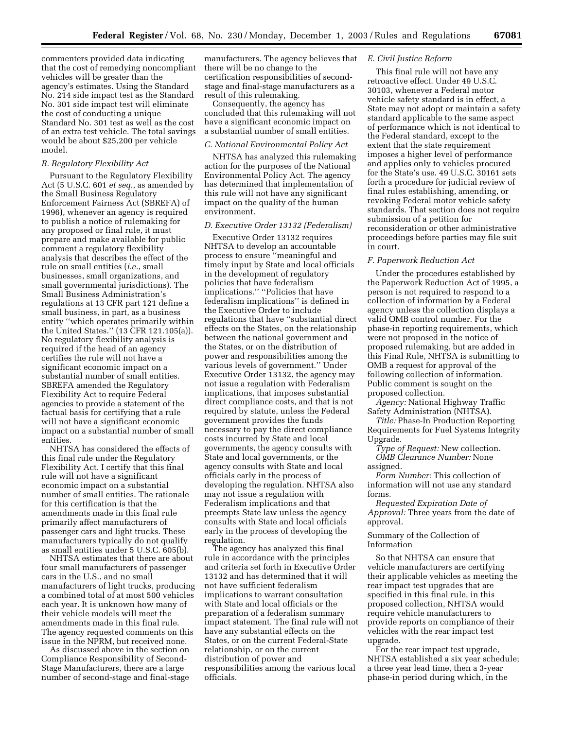commenters provided data indicating that the cost of remedying noncompliant vehicles will be greater than the agency's estimates. Using the Standard No. 214 side impact test as the Standard No. 301 side impact test will eliminate the cost of conducting a unique Standard No. 301 test as well as the cost of an extra test vehicle. The total savings would be about \$25,200 per vehicle model.

# *B. Regulatory Flexibility Act*

Pursuant to the Regulatory Flexibility Act (5 U.S.C. 601 *et seq.*, as amended by the Small Business Regulatory Enforcement Fairness Act (SBREFA) of 1996), whenever an agency is required to publish a notice of rulemaking for any proposed or final rule, it must prepare and make available for public comment a regulatory flexibility analysis that describes the effect of the rule on small entities (*i.e.*, small businesses, small organizations, and small governmental jurisdictions). The Small Business Administration's regulations at 13 CFR part 121 define a small business, in part, as a business entity ''which operates primarily within the United States.'' (13 CFR 121.105(a)). No regulatory flexibility analysis is required if the head of an agency certifies the rule will not have a significant economic impact on a substantial number of small entities. SBREFA amended the Regulatory Flexibility Act to require Federal agencies to provide a statement of the factual basis for certifying that a rule will not have a significant economic impact on a substantial number of small entities.

NHTSA has considered the effects of this final rule under the Regulatory Flexibility Act. I certify that this final rule will not have a significant economic impact on a substantial number of small entities. The rationale for this certification is that the amendments made in this final rule primarily affect manufacturers of passenger cars and light trucks. These manufacturers typically do not qualify as small entities under 5 U.S.C. 605(b).

NHTSA estimates that there are about four small manufacturers of passenger cars in the U.S., and no small manufacturers of light trucks, producing a combined total of at most 500 vehicles each year. It is unknown how many of their vehicle models will meet the amendments made in this final rule. The agency requested comments on this issue in the NPRM, but received none.

As discussed above in the section on Compliance Responsibility of Second-Stage Manufacturers, there are a large number of second-stage and final-stage

manufacturers. The agency believes that there will be no change to the certification responsibilities of secondstage and final-stage manufacturers as a result of this rulemaking.

Consequently, the agency has concluded that this rulemaking will not have a significant economic impact on a substantial number of small entities.

# *C. National Environmental Policy Act*

NHTSA has analyzed this rulemaking action for the purposes of the National Environmental Policy Act. The agency has determined that implementation of this rule will not have any significant impact on the quality of the human environment.

#### *D. Executive Order 13132 (Federalism)*

Executive Order 13132 requires NHTSA to develop an accountable process to ensure ''meaningful and timely input by State and local officials in the development of regulatory policies that have federalism implications.'' ''Policies that have federalism implications'' is defined in the Executive Order to include regulations that have ''substantial direct effects on the States, on the relationship between the national government and the States, or on the distribution of power and responsibilities among the various levels of government.'' Under Executive Order 13132, the agency may not issue a regulation with Federalism implications, that imposes substantial direct compliance costs, and that is not required by statute, unless the Federal government provides the funds necessary to pay the direct compliance costs incurred by State and local governments, the agency consults with State and local governments, or the agency consults with State and local officials early in the process of developing the regulation. NHTSA also may not issue a regulation with Federalism implications and that preempts State law unless the agency consults with State and local officials early in the process of developing the regulation.

The agency has analyzed this final rule in accordance with the principles and criteria set forth in Executive Order 13132 and has determined that it will not have sufficient federalism implications to warrant consultation with State and local officials or the preparation of a federalism summary impact statement. The final rule will not have any substantial effects on the States, or on the current Federal-State relationship, or on the current distribution of power and responsibilities among the various local officials.

# *E. Civil Justice Reform*

This final rule will not have any retroactive effect. Under 49 U.S.C. 30103, whenever a Federal motor vehicle safety standard is in effect, a State may not adopt or maintain a safety standard applicable to the same aspect of performance which is not identical to the Federal standard, except to the extent that the state requirement imposes a higher level of performance and applies only to vehicles procured for the State's use. 49 U.S.C. 30161 sets forth a procedure for judicial review of final rules establishing, amending, or revoking Federal motor vehicle safety standards. That section does not require submission of a petition for reconsideration or other administrative proceedings before parties may file suit in court.

# *F. Paperwork Reduction Act*

Under the procedures established by the Paperwork Reduction Act of 1995, a person is not required to respond to a collection of information by a Federal agency unless the collection displays a valid OMB control number. For the phase-in reporting requirements, which were not proposed in the notice of proposed rulemaking, but are added in this Final Rule, NHTSA is submitting to OMB a request for approval of the following collection of information. Public comment is sought on the proposed collection.

*Agency:* National Highway Traffic Safety Administration (NHTSA).

*Title:* Phase-In Production Reporting Requirements for Fuel Systems Integrity Upgrade.

*Type of Request:* New collection. *OMB Clearance Number:* None assigned.

*Form Number:* This collection of information will not use any standard forms.

*Requested Expiration Date of Approval:* Three years from the date of approval.

Summary of the Collection of Information

So that NHTSA can ensure that vehicle manufacturers are certifying their applicable vehicles as meeting the rear impact test upgrades that are specified in this final rule, in this proposed collection, NHTSA would require vehicle manufacturers to provide reports on compliance of their vehicles with the rear impact test upgrade.

For the rear impact test upgrade, NHTSA established a six year schedule; a three year lead time, then a 3-year phase-in period during which, in the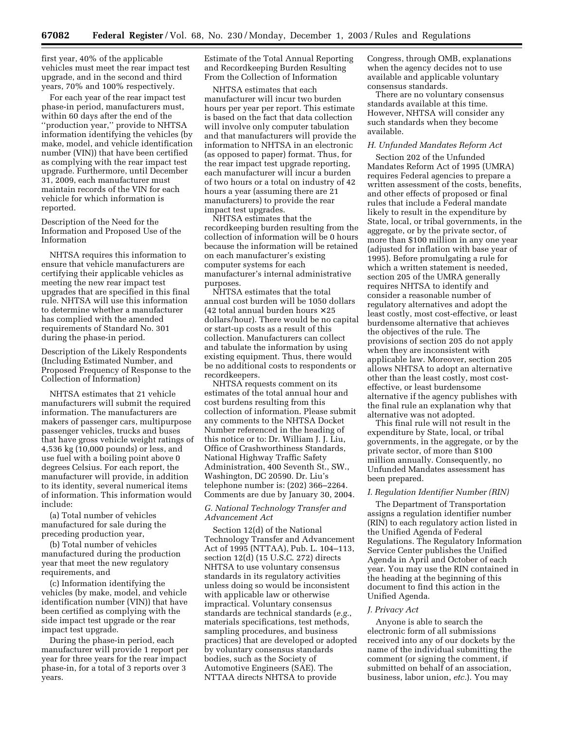first year, 40% of the applicable vehicles must meet the rear impact test upgrade, and in the second and third years, 70% and 100% respectively.

For each year of the rear impact test phase-in period, manufacturers must, within 60 days after the end of the ''production year,'' provide to NHTSA information identifying the vehicles (by make, model, and vehicle identification number (VIN)) that have been certified as complying with the rear impact test upgrade. Furthermore, until December 31, 2009, each manufacturer must maintain records of the VIN for each vehicle for which information is reported.

Description of the Need for the Information and Proposed Use of the Information

NHTSA requires this information to ensure that vehicle manufacturers are certifying their applicable vehicles as meeting the new rear impact test upgrades that are specified in this final rule. NHTSA will use this information to determine whether a manufacturer has complied with the amended requirements of Standard No. 301 during the phase-in period.

Description of the Likely Respondents (Including Estimated Number, and Proposed Frequency of Response to the Collection of Information)

NHTSA estimates that 21 vehicle manufacturers will submit the required information. The manufacturers are makers of passenger cars, multipurpose passenger vehicles, trucks and buses that have gross vehicle weight ratings of 4,536 kg (10,000 pounds) or less, and use fuel with a boiling point above 0 degrees Celsius. For each report, the manufacturer will provide, in addition to its identity, several numerical items of information. This information would include:

(a) Total number of vehicles manufactured for sale during the preceding production year,

(b) Total number of vehicles manufactured during the production year that meet the new regulatory requirements, and

(c) Information identifying the vehicles (by make, model, and vehicle identification number (VIN)) that have been certified as complying with the side impact test upgrade or the rear impact test upgrade.

During the phase-in period, each manufacturer will provide 1 report per year for three years for the rear impact phase-in, for a total of 3 reports over 3 years.

Estimate of the Total Annual Reporting and Recordkeeping Burden Resulting From the Collection of Information

NHTSA estimates that each manufacturer will incur two burden hours per year per report. This estimate is based on the fact that data collection will involve only computer tabulation and that manufacturers will provide the information to NHTSA in an electronic (as opposed to paper) format. Thus, for the rear impact test upgrade reporting, each manufacturer will incur a burden of two hours or a total on industry of 42 hours a year (assuming there are 21 manufacturers) to provide the rear impact test upgrades.

NHTSA estimates that the recordkeeping burden resulting from the collection of information will be 0 hours because the information will be retained on each manufacturer's existing computer systems for each manufacturer's internal administrative purposes.

NHTSA estimates that the total annual cost burden will be 1050 dollars (42 total annual burden hours  $\times$  25 dollars/hour). There would be no capital or start-up costs as a result of this collection. Manufacturers can collect and tabulate the information by using existing equipment. Thus, there would be no additional costs to respondents or recordkeepers.

NHTSA requests comment on its estimates of the total annual hour and cost burdens resulting from this collection of information. Please submit any comments to the NHTSA Docket Number referenced in the heading of this notice or to: Dr. William J. J. Liu, Office of Crashworthiness Standards, National Highway Traffic Safety Administration, 400 Seventh St., SW., Washington, DC 20590. Dr. Liu's telephone number is: (202) 366–2264. Comments are due by January 30, 2004.

# *G. National Technology Transfer and Advancement Act*

Section 12(d) of the National Technology Transfer and Advancement Act of 1995 (NTTAA), Pub. L. 104–113, section 12(d) (15 U.S.C. 272) directs NHTSA to use voluntary consensus standards in its regulatory activities unless doing so would be inconsistent with applicable law or otherwise impractical. Voluntary consensus standards are technical standards (*e.g.*, materials specifications, test methods, sampling procedures, and business practices) that are developed or adopted by voluntary consensus standards bodies, such as the Society of Automotive Engineers (SAE). The NTTAA directs NHTSA to provide

Congress, through OMB, explanations when the agency decides not to use available and applicable voluntary consensus standards.

There are no voluntary consensus standards available at this time. However, NHTSA will consider any such standards when they become available.

# *H. Unfunded Mandates Reform Act*

Section 202 of the Unfunded Mandates Reform Act of 1995 (UMRA) requires Federal agencies to prepare a written assessment of the costs, benefits, and other effects of proposed or final rules that include a Federal mandate likely to result in the expenditure by State, local, or tribal governments, in the aggregate, or by the private sector, of more than \$100 million in any one year (adjusted for inflation with base year of 1995). Before promulgating a rule for which a written statement is needed, section 205 of the UMRA generally requires NHTSA to identify and consider a reasonable number of regulatory alternatives and adopt the least costly, most cost-effective, or least burdensome alternative that achieves the objectives of the rule. The provisions of section 205 do not apply when they are inconsistent with applicable law. Moreover, section 205 allows NHTSA to adopt an alternative other than the least costly, most costeffective, or least burdensome alternative if the agency publishes with the final rule an explanation why that alternative was not adopted.

This final rule will not result in the expenditure by State, local, or tribal governments, in the aggregate, or by the private sector, of more than \$100 million annually. Consequently, no Unfunded Mandates assessment has been prepared.

#### *I. Regulation Identifier Number (RIN)*

The Department of Transportation assigns a regulation identifier number (RIN) to each regulatory action listed in the Unified Agenda of Federal Regulations. The Regulatory Information Service Center publishes the Unified Agenda in April and October of each year. You may use the RIN contained in the heading at the beginning of this document to find this action in the Unified Agenda.

#### *J. Privacy Act*

Anyone is able to search the electronic form of all submissions received into any of our dockets by the name of the individual submitting the comment (or signing the comment, if submitted on behalf of an association, business, labor union, *etc.*). You may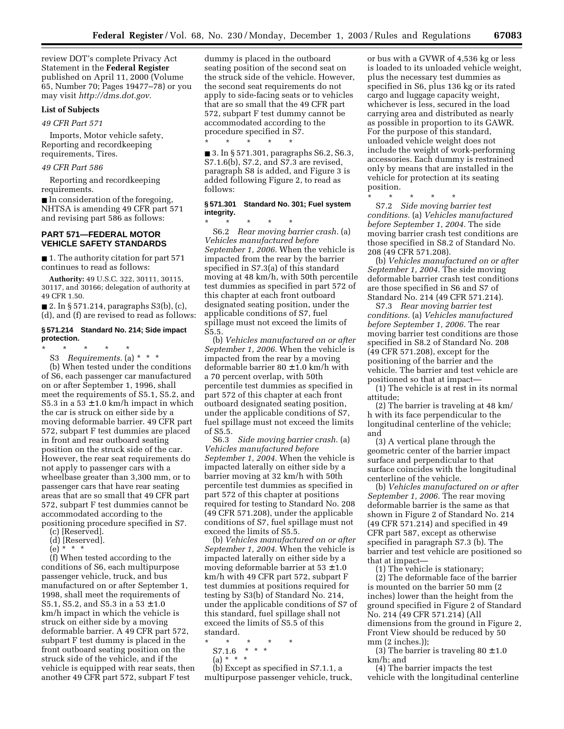review DOT's complete Privacy Act Statement in the **Federal Register** published on April 11, 2000 (Volume 65, Number 70; Pages 19477–78) or you may visit *[http://dms.dot.gov.](http://dms.dot.gov)*

# **List of Subjects**

### *49 CFR Part 571*

Imports, Motor vehicle safety, Reporting and recordkeeping requirements, Tires.

# *49 CFR Part 586*

Reporting and recordkeeping requirements.

■ In consideration of the foregoing, NHTSA is amending 49 CFR part 571 and revising part 586 as follows:

# **PART 571—FEDERAL MOTOR VEHICLE SAFETY STANDARDS**

■ 1. The authority citation for part 571 continues to read as follows:

**Authority:** 49 U.S.C. 322, 30111, 30115, 30117, and 30166; delegation of authority at 49 CFR 1.50.

 $\blacksquare$  2. In § 571.214, paragraphs S3(b), (c), (d), and (f) are revised to read as follows:

# **§ 571.214 Standard No. 214; Side impact protection.**

\* \* \* \* \*

S3 *Requirements.* (a) \* \* \* (b) When tested under the conditions of S6, each passenger car manufactured on or after September 1, 1996, shall meet the requirements of S5.1, S5.2, and S5.3 in a  $53 \pm 1.0$  km/h impact in which the car is struck on either side by a moving deformable barrier. 49 CFR part 572, subpart F test dummies are placed in front and rear outboard seating position on the struck side of the car. However, the rear seat requirements do not apply to passenger cars with a wheelbase greater than 3,300 mm, or to passenger cars that have rear seating areas that are so small that 49 CFR part 572, subpart F test dummies cannot be accommodated according to the positioning procedure specified in S7.

(c) [Reserved].

- (d) [Reserved].
- (e) \* \* \*

(f) When tested according to the conditions of S6, each multipurpose passenger vehicle, truck, and bus manufactured on or after September 1, 1998, shall meet the requirements of S5.1, S5.2, and S5.3 in a  $53 \pm 1.0$ km/h impact in which the vehicle is struck on either side by a moving deformable barrier. A 49 CFR part 572, subpart F test dummy is placed in the front outboard seating position on the struck side of the vehicle, and if the vehicle is equipped with rear seats, then another 49 CFR part 572, subpart F test

dummy is placed in the outboard seating position of the second seat on the struck side of the vehicle. However, the second seat requirements do not apply to side-facing seats or to vehicles that are so small that the 49 CFR part 572, subpart F test dummy cannot be accommodated according to the procedure specified in S7.

\* \* \* \* \* ■ 3. In § 571.301, paragraphs S6.2, S6.3, S7.1.6(b), S7.2, and S7.3 are revised, paragraph S8 is added, and Figure 3 is added following Figure 2, to read as follows:

# **§ 571.301 Standard No. 301; Fuel system integrity.**

\* \* \* \* \* S6.2 *Rear moving barrier crash.* (a) *Vehicles manufactured before September 1, 2006.* When the vehicle is impacted from the rear by the barrier specified in S7.3(a) of this standard moving at 48 km/h, with 50th percentile test dummies as specified in part 572 of this chapter at each front outboard designated seating position, under the applicable conditions of S7, fuel spillage must not exceed the limits of S5.5.

(b) *Vehicles manufactured on or after September 1, 2006.* When the vehicle is impacted from the rear by a moving deformable barrier  $80 \pm 1.0$  km/h with a 70 percent overlap, with 50th percentile test dummies as specified in part 572 of this chapter at each front outboard designated seating position, under the applicable conditions of S7, fuel spillage must not exceed the limits of S5.5.

S6.3 *Side moving barrier crash.* (a) *Vehicles manufactured before September 1, 2004.* When the vehicle is impacted laterally on either side by a barrier moving at 32 km/h with 50th percentile test dummies as specified in part 572 of this chapter at positions required for testing to Standard No. 208 (49 CFR 571.208), under the applicable conditions of S7, fuel spillage must not exceed the limits of S5.5.

(b) *Vehicles manufactured on or after September 1, 2004.* When the vehicle is impacted laterally on either side by a moving deformable barrier at  $53 \pm 1.0$ km/h with 49 CFR part 572, subpart F test dummies at positions required for testing by S3(b) of Standard No. 214, under the applicable conditions of S7 of this standard, fuel spillage shall not exceed the limits of S5.5 of this standard.

- \* \* \* \* \*
	- $S7.1.6$  \* \* \*  $(a) * * * *$

(b) Except as specified in S7.1.1, a multipurpose passenger vehicle, truck,

or bus with a GVWR of 4,536 kg or less is loaded to its unloaded vehicle weight, plus the necessary test dummies as specified in S6, plus 136 kg or its rated cargo and luggage capacity weight, whichever is less, secured in the load carrying area and distributed as nearly as possible in proportion to its GAWR. For the purpose of this standard, unloaded vehicle weight does not include the weight of work-performing accessories. Each dummy is restrained only by means that are installed in the vehicle for protection at its seating position.

\* \* \* \* \*

S7.2 *Side moving barrier test conditions.* (a) *Vehicles manufactured before September 1, 2004.* The side moving barrier crash test conditions are those specified in S8.2 of Standard No. 208 (49 CFR 571.208).

(b) *Vehicles manufactured on or after September 1, 2004.* The side moving deformable barrier crash test conditions are those specified in S6 and S7 of Standard No. 214 (49 CFR 571.214).

S7.3 *Rear moving barrier test conditions.* (a) *Vehicles manufactured before September 1, 2006.* The rear moving barrier test conditions are those specified in S8.2 of Standard No. 208 (49 CFR 571.208), except for the positioning of the barrier and the vehicle. The barrier and test vehicle are positioned so that at impact—

(1) The vehicle is at rest in its normal attitude;

(2) The barrier is traveling at 48 km/ h with its face perpendicular to the longitudinal centerline of the vehicle; and

(3) A vertical plane through the geometric center of the barrier impact surface and perpendicular to that surface coincides with the longitudinal centerline of the vehicle.

(b) *Vehicles manufactured on or after September 1, 2006.* The rear moving deformable barrier is the same as that shown in Figure 2 of Standard No. 214 (49 CFR 571.214) and specified in 49 CFR part 587, except as otherwise specified in paragraph S7.3 (b). The barrier and test vehicle are positioned so that at impact—

(1) The vehicle is stationary; (2) The deformable face of the barrier is mounted on the barrier 50 mm (2 inches) lower than the height from the ground specified in Figure 2 of Standard No. 214 (49 CFR 571.214) (All dimensions from the ground in Figure 2, Front View should be reduced by 50 mm (2 inches.));

(3) The barrier is traveling  $80 \pm 1.0$ km/h; and

(4) The barrier impacts the test vehicle with the longitudinal centerline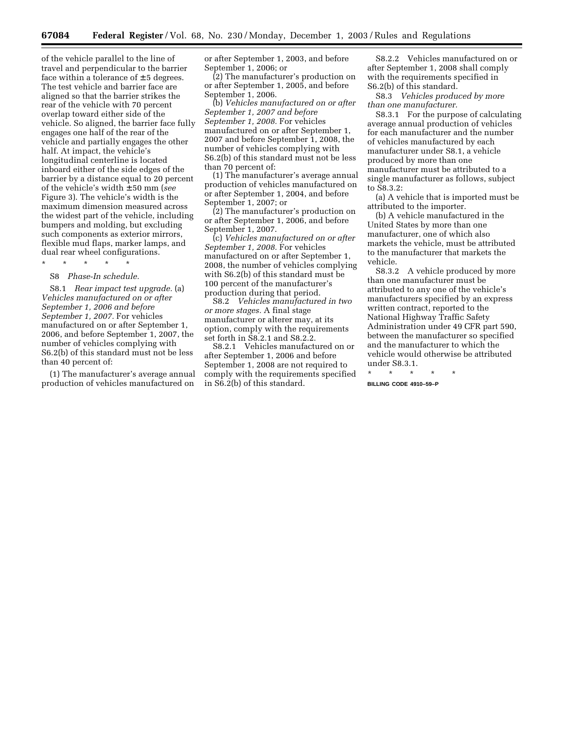of the vehicle parallel to the line of travel and perpendicular to the barrier face within a tolerance of  $\pm$  5 degrees. The test vehicle and barrier face are aligned so that the barrier strikes the rear of the vehicle with 70 percent overlap toward either side of the vehicle. So aligned, the barrier face fully engages one half of the rear of the vehicle and partially engages the other half. At impact, the vehicle's longitudinal centerline is located inboard either of the side edges of the barrier by a distance equal to 20 percent of the vehicle's width ± 50 mm (*see* Figure 3). The vehicle's width is the maximum dimension measured across the widest part of the vehicle, including bumpers and molding, but excluding such components as exterior mirrors, flexible mud flaps, marker lamps, and dual rear wheel configurations.

\* \* \* \* \*

# S8 *Phase-In schedule.*

S8.1 *Rear impact test upgrade.* (a) *Vehicles manufactured on or after September 1, 2006 and before September 1, 2007.* For vehicles manufactured on or after September 1, 2006, and before September 1, 2007, the number of vehicles complying with S6.2(b) of this standard must not be less than 40 percent of:

(1) The manufacturer's average annual production of vehicles manufactured on

or after September 1, 2003, and before September 1, 2006; or

(2) The manufacturer's production on or after September 1, 2005, and before September 1, 2006.

(b) *Vehicles manufactured on or after September 1, 2007 and before September 1, 2008.* For vehicles manufactured on or after September 1, 2007 and before September 1, 2008, the number of vehicles complying with S6.2(b) of this standard must not be less than 70 percent of:

(1) The manufacturer's average annual production of vehicles manufactured on or after September 1, 2004, and before September 1, 2007; or

(2) The manufacturer's production on or after September 1, 2006, and before September 1, 2007.

(c) *Vehicles manufactured on or after September 1, 2008.* For vehicles manufactured on or after September 1, 2008, the number of vehicles complying with S6.2(b) of this standard must be 100 percent of the manufacturer's production during that period.

S8.2 *Vehicles manufactured in two or more stages.* A final stage manufacturer or alterer may, at its option, comply with the requirements set forth in S8.2.1 and S8.2.2.

S8.2.1 Vehicles manufactured on or after September 1, 2006 and before September 1, 2008 are not required to comply with the requirements specified in S6.2(b) of this standard.

S8.2.2 Vehicles manufactured on or after September 1, 2008 shall comply with the requirements specified in S6.2(b) of this standard.

S8.3 *Vehicles produced by more than one manufacturer.*

S8.3.1 For the purpose of calculating average annual production of vehicles for each manufacturer and the number of vehicles manufactured by each manufacturer under S8.1, a vehicle produced by more than one manufacturer must be attributed to a single manufacturer as follows, subject to S8.3.2:

(a) A vehicle that is imported must be attributed to the importer.

(b) A vehicle manufactured in the United States by more than one manufacturer, one of which also markets the vehicle, must be attributed to the manufacturer that markets the vehicle.

S8.3.2 A vehicle produced by more than one manufacturer must be attributed to any one of the vehicle's manufacturers specified by an express written contract, reported to the National Highway Traffic Safety Administration under 49 CFR part 590, between the manufacturer so specified and the manufacturer to which the vehicle would otherwise be attributed under S8.3.1.

\* \* \* \* \*

**BILLING CODE 4910–59–P**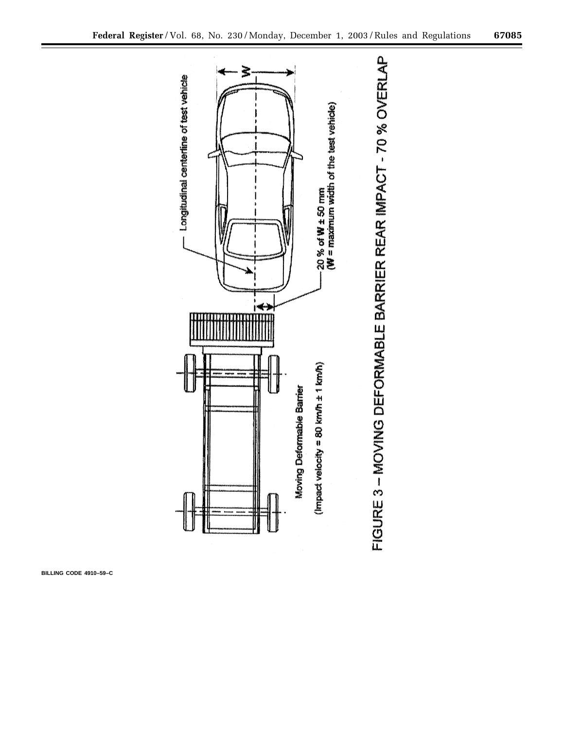